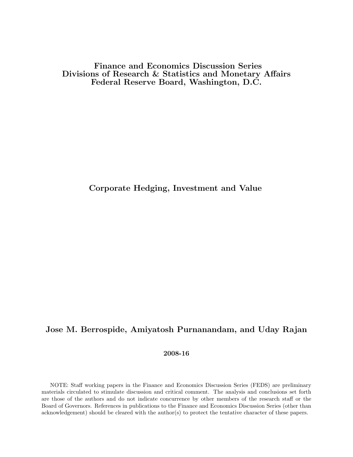Finance and Economics Discussion Series Divisions of Research & Statistics and Monetary Affairs Federal Reserve Board, Washington, D.C.

# Corporate Hedging, Investment and Value

# Jose M. Berrospide, Amiyatosh Purnanandam, and Uday Rajan

# 2008-16

NOTE: Staff working papers in the Finance and Economics Discussion Series (FEDS) are preliminary materials circulated to stimulate discussion and critical comment. The analysis and conclusions set forth are those of the authors and do not indicate concurrence by other members of the research staff or the Board of Governors. References in publications to the Finance and Economics Discussion Series (other than acknowledgement) should be cleared with the author(s) to protect the tentative character of these papers.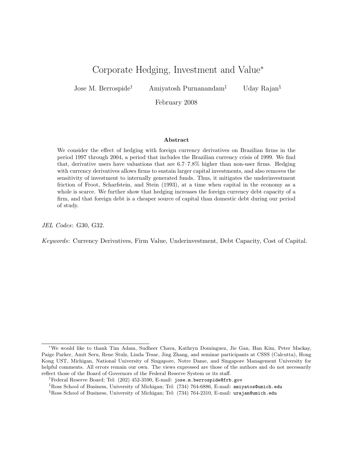# Corporate Hedging, Investment and Value<sup>∗</sup>

Jose M. Berrospide† Amiyatosh Purnanandam‡ Uday Rajan§

February 2008

### Abstract

We consider the effect of hedging with foreign currency derivatives on Brazilian firms in the period 1997 through 2004, a period that includes the Brazilian currency crisis of 1999. We find that, derivative users have valuations that are 6.7–7.8% higher than non-user firms. Hedging with currency derivatives allows firms to sustain larger capital investments, and also removes the sensitivity of investment to internally generated funds. Thus, it mitigates the underinvestment friction of Froot, Scharfstein, and Stein (1993), at a time when capital in the economy as a whole is scarce. We further show that hedging increases the foreign currency debt capacity of a firm, and that foreign debt is a cheaper source of capital than domestic debt during our period of study.

JEL Codes: G30, G32.

Keywords: Currency Derivatives, Firm Value, Underinvestment, Debt Capacity, Cost of Capital.

<sup>∗</sup>We would like to thank Tim Adam, Sudheer Chava, Kathryn Dominguez, Jie Gan, Han Kim, Peter Mackay, Paige Parker, Amit Seru, Rene Stulz, Linda Tesar, Jing Zhang, and seminar participants at CSSS (Calcutta), Hong Kong UST, Michigan, National University of Singapore, Notre Dame, and Singapore Management University for helpful comments. All errors remain our own. The views expressed are those of the authors and do not necessarily reflect those of the Board of Governors of the Federal Reserve System or its staff.

<sup>†</sup>Federal Reserve Board; Tel: (202) 452-3590, E-mail: jose.m.berrospide@frb.gov

<sup>‡</sup>Ross School of Business, University of Michigan; Tel: (734) 764-6886, E-mail: amiyatos@umich.edu

 $\S$ Ross School of Business, University of Michigan; Tel: (734) 764-2310, E-mail: urajan@umich.edu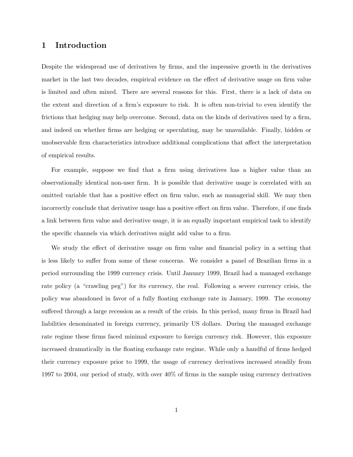# 1 Introduction

Despite the widespread use of derivatives by firms, and the impressive growth in the derivatives market in the last two decades, empirical evidence on the effect of derivative usage on firm value is limited and often mixed. There are several reasons for this. First, there is a lack of data on the extent and direction of a firm's exposure to risk. It is often non-trivial to even identify the frictions that hedging may help overcome. Second, data on the kinds of derivatives used by a firm, and indeed on whether firms are hedging or speculating, may be unavailable. Finally, hidden or unobservable firm characteristics introduce additional complications that affect the interpretation of empirical results.

For example, suppose we find that a firm using derivatives has a higher value than an observationally identical non-user firm. It is possible that derivative usage is correlated with an omitted variable that has a positive effect on firm value, such as managerial skill. We may then incorrectly conclude that derivative usage has a positive effect on firm value. Therefore, if one finds a link between firm value and derivative usage, it is an equally important empirical task to identify the specific channels via which derivatives might add value to a firm.

We study the effect of derivative usage on firm value and financial policy in a setting that is less likely to suffer from some of these concerns. We consider a panel of Brazilian firms in a period surrounding the 1999 currency crisis. Until January 1999, Brazil had a managed exchange rate policy (a "crawling peg") for its currency, the real. Following a severe currency crisis, the policy was abandoned in favor of a fully floating exchange rate in January, 1999. The economy suffered through a large recession as a result of the crisis. In this period, many firms in Brazil had liabilities denominated in foreign currency, primarily US dollars. During the managed exchange rate regime these firms faced minimal exposure to foreign currency risk. However, this exposure increased dramatically in the floating exchange rate regime. While only a handful of firms hedged their currency exposure prior to 1999, the usage of currency derivatives increased steadily from 1997 to 2004, our period of study, with over 40% of firms in the sample using currency derivatives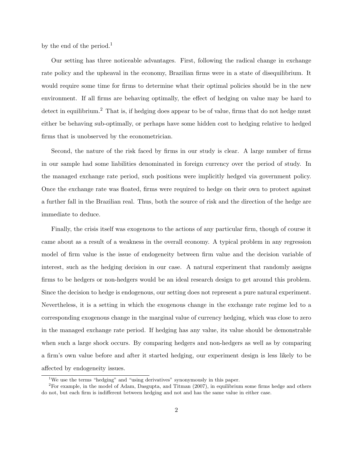by the end of the period.<sup>1</sup>

Our setting has three noticeable advantages. First, following the radical change in exchange rate policy and the upheaval in the economy, Brazilian firms were in a state of disequilibrium. It would require some time for firms to determine what their optimal policies should be in the new environment. If all firms are behaving optimally, the effect of hedging on value may be hard to detect in equilibrium.<sup>2</sup> That is, if hedging does appear to be of value, firms that do not hedge must either be behaving sub-optimally, or perhaps have some hidden cost to hedging relative to hedged firms that is unobserved by the econometrician.

Second, the nature of the risk faced by firms in our study is clear. A large number of firms in our sample had some liabilities denominated in foreign currency over the period of study. In the managed exchange rate period, such positions were implicitly hedged via government policy. Once the exchange rate was floated, firms were required to hedge on their own to protect against a further fall in the Brazilian real. Thus, both the source of risk and the direction of the hedge are immediate to deduce.

Finally, the crisis itself was exogenous to the actions of any particular firm, though of course it came about as a result of a weakness in the overall economy. A typical problem in any regression model of firm value is the issue of endogeneity between firm value and the decision variable of interest, such as the hedging decision in our case. A natural experiment that randomly assigns firms to be hedgers or non-hedgers would be an ideal research design to get around this problem. Since the decision to hedge is endogenous, our setting does not represent a pure natural experiment. Nevertheless, it is a setting in which the exogenous change in the exchange rate regime led to a corresponding exogenous change in the marginal value of currency hedging, which was close to zero in the managed exchange rate period. If hedging has any value, its value should be demonstrable when such a large shock occurs. By comparing hedgers and non-hedgers as well as by comparing a firm's own value before and after it started hedging, our experiment design is less likely to be affected by endogeneity issues.

<sup>1</sup>We use the terms "hedging" and "using derivatives" synonymously in this paper.

 ${}^{2}$ For example, in the model of Adam, Dasgupta, and Titman (2007), in equilibrium some firms hedge and others do not, but each firm is indifferent between hedging and not and has the same value in either case.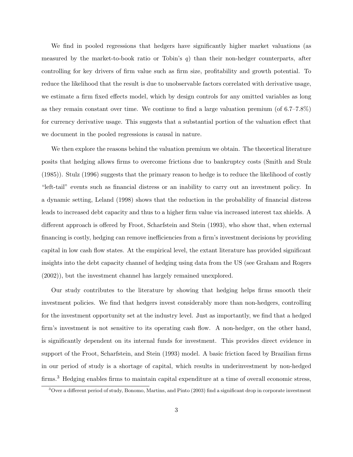We find in pooled regressions that hedgers have significantly higher market valuations (as measured by the market-to-book ratio or Tobin's  $q$ ) than their non-hedger counterparts, after controlling for key drivers of firm value such as firm size, profitability and growth potential. To reduce the likelihood that the result is due to unobservable factors correlated with derivative usage, we estimate a firm fixed effects model, which by design controls for any omitted variables as long as they remain constant over time. We continue to find a large valuation premium (of 6.7–7.8%) for currency derivative usage. This suggests that a substantial portion of the valuation effect that we document in the pooled regressions is causal in nature.

We then explore the reasons behind the valuation premium we obtain. The theoretical literature posits that hedging allows firms to overcome frictions due to bankruptcy costs (Smith and Stulz (1985)). Stulz (1996) suggests that the primary reason to hedge is to reduce the likelihood of costly "left-tail" events such as financial distress or an inability to carry out an investment policy. In a dynamic setting, Leland (1998) shows that the reduction in the probability of financial distress leads to increased debt capacity and thus to a higher firm value via increased interest tax shields. A different approach is offered by Froot, Scharfstein and Stein (1993), who show that, when external financing is costly, hedging can remove inefficiencies from a firm's investment decisions by providing capital in low cash flow states. At the empirical level, the extant literature has provided significant insights into the debt capacity channel of hedging using data from the US (see Graham and Rogers (2002)), but the investment channel has largely remained unexplored.

Our study contributes to the literature by showing that hedging helps firms smooth their investment policies. We find that hedgers invest considerably more than non-hedgers, controlling for the investment opportunity set at the industry level. Just as importantly, we find that a hedged firm's investment is not sensitive to its operating cash flow. A non-hedger, on the other hand, is significantly dependent on its internal funds for investment. This provides direct evidence in support of the Froot, Scharfstein, and Stein (1993) model. A basic friction faced by Brazilian firms in our period of study is a shortage of capital, which results in underinvestment by non-hedged firms.<sup>3</sup> Hedging enables firms to maintain capital expenditure at a time of overall economic stress,

<sup>&</sup>lt;sup>3</sup>Over a different period of study, Bonomo, Martins, and Pinto (2003) find a significant drop in corporate investment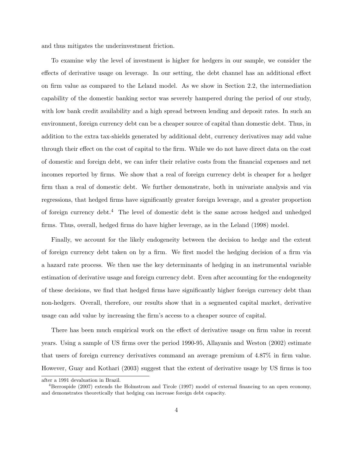and thus mitigates the underinvestment friction.

To examine why the level of investment is higher for hedgers in our sample, we consider the effects of derivative usage on leverage. In our setting, the debt channel has an additional effect on firm value as compared to the Leland model. As we show in Section 2.2, the intermediation capability of the domestic banking sector was severely hampered during the period of our study, with low bank credit availability and a high spread between lending and deposit rates. In such an environment, foreign currency debt can be a cheaper source of capital than domestic debt. Thus, in addition to the extra tax-shields generated by additional debt, currency derivatives may add value through their effect on the cost of capital to the firm. While we do not have direct data on the cost of domestic and foreign debt, we can infer their relative costs from the financial expenses and net incomes reported by firms. We show that a real of foreign currency debt is cheaper for a hedger firm than a real of domestic debt. We further demonstrate, both in univariate analysis and via regressions, that hedged firms have significantly greater foreign leverage, and a greater proportion of foreign currency debt.<sup>4</sup> The level of domestic debt is the same across hedged and unhedged firms. Thus, overall, hedged firms do have higher leverage, as in the Leland (1998) model.

Finally, we account for the likely endogeneity between the decision to hedge and the extent of foreign currency debt taken on by a firm. We first model the hedging decision of a firm via a hazard rate process. We then use the key determinants of hedging in an instrumental variable estimation of derivative usage and foreign currency debt. Even after accounting for the endogeneity of these decisions, we find that hedged firms have significantly higher foreign currency debt than non-hedgers. Overall, therefore, our results show that in a segmented capital market, derivative usage can add value by increasing the firm's access to a cheaper source of capital.

There has been much empirical work on the effect of derivative usage on firm value in recent years. Using a sample of US firms over the period 1990-95, Allayanis and Weston (2002) estimate that users of foreign currency derivatives command an average premium of 4.87% in firm value. However, Guay and Kothari (2003) suggest that the extent of derivative usage by US firms is too

after a 1991 devaluation in Brazil.

<sup>&</sup>lt;sup>4</sup>Berrospide (2007) extends the Holmstrom and Tirole (1997) model of external financing to an open economy, and demonstrates theoretically that hedging can increase foreign debt capacity.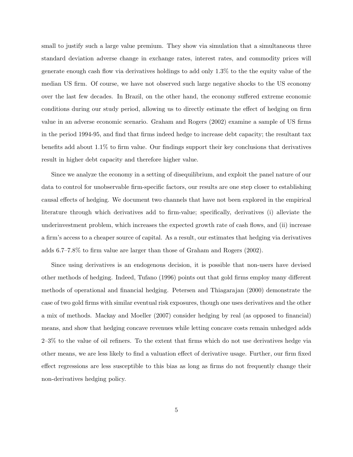small to justify such a large value premium. They show via simulation that a simultaneous three standard deviation adverse change in exchange rates, interest rates, and commodity prices will generate enough cash flow via derivatives holdings to add only 1.3% to the the equity value of the median US firm. Of course, we have not observed such large negative shocks to the US economy over the last few decades. In Brazil, on the other hand, the economy suffered extreme economic conditions during our study period, allowing us to directly estimate the effect of hedging on firm value in an adverse economic scenario. Graham and Rogers (2002) examine a sample of US firms in the period 1994-95, and find that firms indeed hedge to increase debt capacity; the resultant tax benefits add about 1.1% to firm value. Our findings support their key conclusions that derivatives result in higher debt capacity and therefore higher value.

Since we analyze the economy in a setting of disequilibrium, and exploit the panel nature of our data to control for unobservable firm-specific factors, our results are one step closer to establishing causal effects of hedging. We document two channels that have not been explored in the empirical literature through which derivatives add to firm-value; specifically, derivatives (i) alleviate the underinvestment problem, which increases the expected growth rate of cash flows, and (ii) increase a firm's access to a cheaper source of capital. As a result, our estimates that hedging via derivatives adds 6.7–7.8% to firm value are larger than those of Graham and Rogers (2002).

Since using derivatives is an endogenous decision, it is possible that non-users have devised other methods of hedging. Indeed, Tufano (1996) points out that gold firms employ many different methods of operational and financial hedging. Petersen and Thiagarajan (2000) demonstrate the case of two gold firms with similar eventual risk exposures, though one uses derivatives and the other a mix of methods. Mackay and Moeller (2007) consider hedging by real (as opposed to financial) means, and show that hedging concave revenues while letting concave costs remain unhedged adds 2–3% to the value of oil refiners. To the extent that firms which do not use derivatives hedge via other means, we are less likely to find a valuation effect of derivative usage. Further, our firm fixed effect regressions are less susceptible to this bias as long as firms do not frequently change their non-derivatives hedging policy.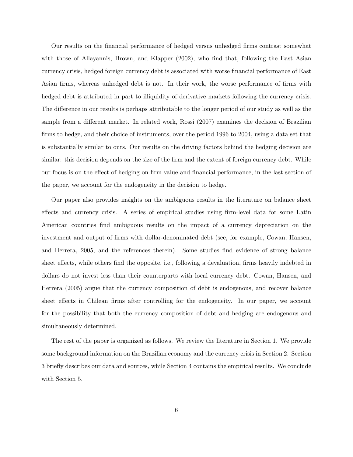Our results on the financial performance of hedged versus unhedged firms contrast somewhat with those of Allayannis, Brown, and Klapper (2002), who find that, following the East Asian currency crisis, hedged foreign currency debt is associated with worse financial performance of East Asian firms, whereas unhedged debt is not. In their work, the worse performance of firms with hedged debt is attributed in part to illiquidity of derivative markets following the currency crisis. The difference in our results is perhaps attributable to the longer period of our study as well as the sample from a different market. In related work, Rossi (2007) examines the decision of Brazilian firms to hedge, and their choice of instruments, over the period 1996 to 2004, using a data set that is substantially similar to ours. Our results on the driving factors behind the hedging decision are similar: this decision depends on the size of the firm and the extent of foreign currency debt. While our focus is on the effect of hedging on firm value and financial performance, in the last section of the paper, we account for the endogeneity in the decision to hedge.

Our paper also provides insights on the ambiguous results in the literature on balance sheet effects and currency crisis. A series of empirical studies using firm-level data for some Latin American countries find ambiguous results on the impact of a currency depreciation on the investment and output of firms with dollar-denominated debt (see, for example, Cowan, Hansen, and Herrera, 2005, and the references therein). Some studies find evidence of strong balance sheet effects, while others find the opposite, i.e., following a devaluation, firms heavily indebted in dollars do not invest less than their counterparts with local currency debt. Cowan, Hansen, and Herrera (2005) argue that the currency composition of debt is endogenous, and recover balance sheet effects in Chilean firms after controlling for the endogeneity. In our paper, we account for the possibility that both the currency composition of debt and hedging are endogenous and simultaneously determined.

The rest of the paper is organized as follows. We review the literature in Section 1. We provide some background information on the Brazilian economy and the currency crisis in Section 2. Section 3 briefly describes our data and sources, while Section 4 contains the empirical results. We conclude with Section 5.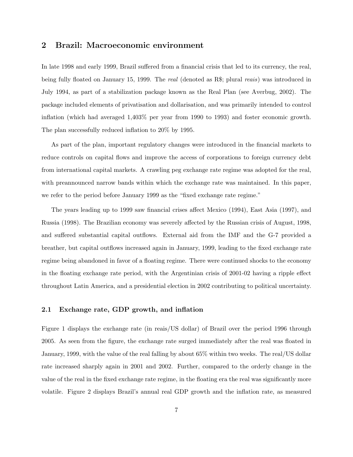# 2 Brazil: Macroeconomic environment

In late 1998 and early 1999, Brazil suffered from a financial crisis that led to its currency, the real, being fully floated on January 15, 1999. The real (denoted as R\$; plural reais) was introduced in July 1994, as part of a stabilization package known as the Real Plan (see Averbug, 2002). The package included elements of privatisation and dollarisation, and was primarily intended to control inflation (which had averaged 1,403% per year from 1990 to 1993) and foster economic growth. The plan successfully reduced inflation to 20% by 1995.

As part of the plan, important regulatory changes were introduced in the financial markets to reduce controls on capital flows and improve the access of corporations to foreign currency debt from international capital markets. A crawling peg exchange rate regime was adopted for the real, with preannounced narrow bands within which the exchange rate was maintained. In this paper, we refer to the period before January 1999 as the "fixed exchange rate regime."

The years leading up to 1999 saw financial crises affect Mexico (1994), East Asia (1997), and Russia (1998). The Brazilian economy was severely affected by the Russian crisis of August, 1998, and suffered substantial capital outflows. External aid from the IMF and the G-7 provided a breather, but capital outflows increased again in January, 1999, leading to the fixed exchange rate regime being abandoned in favor of a floating regime. There were continued shocks to the economy in the floating exchange rate period, with the Argentinian crisis of 2001-02 having a ripple effect throughout Latin America, and a presidential election in 2002 contributing to political uncertainty.

### 2.1 Exchange rate, GDP growth, and inflation

Figure 1 displays the exchange rate (in reais/US dollar) of Brazil over the period 1996 through 2005. As seen from the figure, the exchange rate surged immediately after the real was floated in January, 1999, with the value of the real falling by about 65% within two weeks. The real/US dollar rate increased sharply again in 2001 and 2002. Further, compared to the orderly change in the value of the real in the fixed exchange rate regime, in the floating era the real was significantly more volatile. Figure 2 displays Brazil's annual real GDP growth and the inflation rate, as measured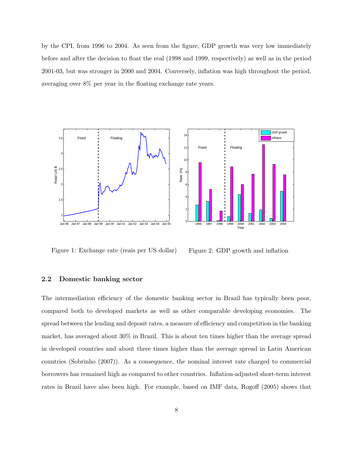by the CPI, from 1996 to 2004. As seen from the figure, GDP growth was very low immediately before and after the decision to float the real (1998 and 1999, respectively) as well as in the period 2001-03, but was stronger in 2000 and 2004. Conversely, inflation was high throughout the period, averaging over 8% per year in the floating exchange rate years.





Figure 1: Exchange rate (reais per US dollar)

Figure 2: GDP growth and inflation

### 2.2 Domestic banking sector

The intermediation efficiency of the domestic banking sector in Brazil has typically been poor, compared both to developed markets as well as other comparable developing economies. The spread between the lending and deposit rates, a measure of efficiency and competition in the banking market, has averaged about 30% in Brazil. This is about ten times higher than the average spread in developed countries and about three times higher than the average spread in Latin American countries (Sobrinho (2007)). As a consequence, the nominal interest rate charged to commercial borrowers has remained high as compared to other countries. Inflation-adjusted short-term interest rates in Brazil have also been high. For example, based on IMF data, Rogoff (2005) shows that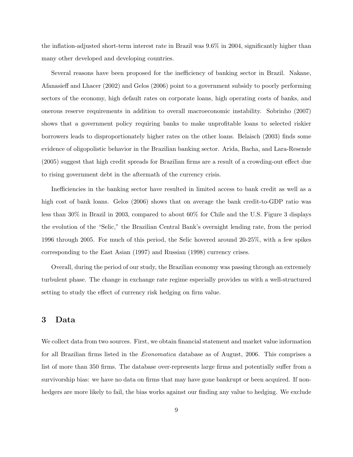the inflation-adjusted short-term interest rate in Brazil was 9.6% in 2004, significantly higher than many other developed and developing countries.

Several reasons have been proposed for the inefficiency of banking sector in Brazil. Nakane, Afanasieff and Lhacer (2002) and Gelos (2006) point to a government subsidy to poorly performing sectors of the economy, high default rates on corporate loans, high operating costs of banks, and onerous reserve requirements in addition to overall macroeconomic instability. Sobrinho (2007) shows that a government policy requiring banks to make unprofitable loans to selected riskier borrowers leads to disproportionately higher rates on the other loans. Belaisch (2003) finds some evidence of oligopolistic behavior in the Brazilian banking sector. Arida, Bacha, and Lara-Resende (2005) suggest that high credit spreads for Brazilian firms are a result of a crowding-out effect due to rising government debt in the aftermath of the currency crisis.

Inefficiencies in the banking sector have resulted in limited access to bank credit as well as a high cost of bank loans. Gelos (2006) shows that on average the bank credit-to-GDP ratio was less than 30% in Brazil in 2003, compared to about 60% for Chile and the U.S. Figure 3 displays the evolution of the "Selic," the Brazilian Central Bank's overnight lending rate, from the period 1996 through 2005. For much of this period, the Selic hovered around 20-25%, with a few spikes corresponding to the East Asian (1997) and Russian (1998) currency crises.

Overall, during the period of our study, the Brazilian economy was passing through an extremely turbulent phase. The change in exchange rate regime especially provides us with a well-structured setting to study the effect of currency risk hedging on firm value.

# 3 Data

We collect data from two sources. First, we obtain financial statement and market value information for all Brazilian firms listed in the Economatica database as of August, 2006. This comprises a list of more than 350 firms. The database over-represents large firms and potentially suffer from a survivorship bias: we have no data on firms that may have gone bankrupt or been acquired. If nonhedgers are more likely to fail, the bias works against our finding any value to hedging. We exclude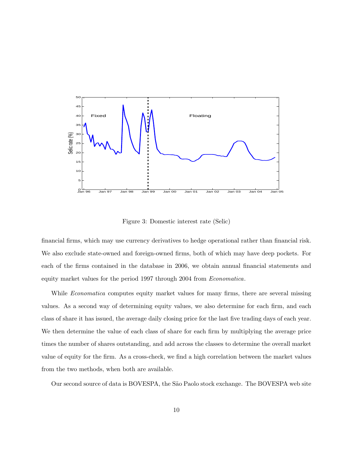

Figure 3: Domestic interest rate (Selic)

financial firms, which may use currency derivatives to hedge operational rather than financial risk. We also exclude state-owned and foreign-owned firms, both of which may have deep pockets. For each of the firms contained in the database in 2006, we obtain annual financial statements and equity market values for the period 1997 through 2004 from Economatica.

While *Economatica* computes equity market values for many firms, there are several missing values. As a second way of determining equity values, we also determine for each firm, and each class of share it has issued, the average daily closing price for the last five trading days of each year. We then determine the value of each class of share for each firm by multiplying the average price times the number of shares outstanding, and add across the classes to determine the overall market value of equity for the firm. As a cross-check, we find a high correlation between the market values from the two methods, when both are available.

Our second source of data is BOVESPA, the São Paolo stock exchange. The BOVESPA web site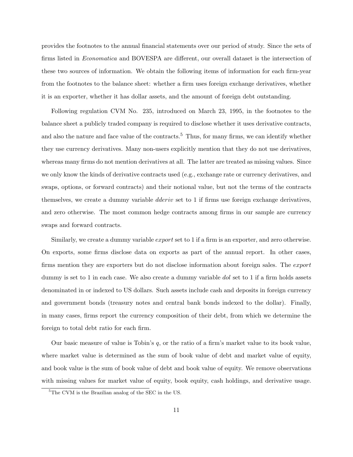provides the footnotes to the annual financial statements over our period of study. Since the sets of firms listed in Economatica and BOVESPA are different, our overall dataset is the intersection of these two sources of information. We obtain the following items of information for each firm-year from the footnotes to the balance sheet: whether a firm uses foreign exchange derivatives, whether it is an exporter, whether it has dollar assets, and the amount of foreign debt outstanding.

Following regulation CVM No. 235, introduced on March 23, 1995, in the footnotes to the balance sheet a publicly traded company is required to disclose whether it uses derivative contracts, and also the nature and face value of the contracts.<sup>5</sup> Thus, for many firms, we can identify whether they use currency derivatives. Many non-users explicitly mention that they do not use derivatives, whereas many firms do not mention derivatives at all. The latter are treated as missing values. Since we only know the kinds of derivative contracts used (e.g., exchange rate or currency derivatives, and swaps, options, or forward contracts) and their notional value, but not the terms of the contracts themselves, we create a dummy variable *dderiv* set to 1 if firms use foreign exchange derivatives, and zero otherwise. The most common hedge contracts among firms in our sample are currency swaps and forward contracts.

Similarly, we create a dummy variable *export* set to 1 if a firm is an exporter, and zero otherwise. On exports, some firms disclose data on exports as part of the annual report. In other cases, firms mention they are exporters but do not disclose information about foreign sales. The export dummy is set to 1 in each case. We also create a dummy variable dol set to 1 if a firm holds assets denominated in or indexed to US dollars. Such assets include cash and deposits in foreign currency and government bonds (treasury notes and central bank bonds indexed to the dollar). Finally, in many cases, firms report the currency composition of their debt, from which we determine the foreign to total debt ratio for each firm.

Our basic measure of value is Tobin's  $q$ , or the ratio of a firm's market value to its book value, where market value is determined as the sum of book value of debt and market value of equity, and book value is the sum of book value of debt and book value of equity. We remove observations with missing values for market value of equity, book equity, cash holdings, and derivative usage.

<sup>5</sup>The CVM is the Brazilian analog of the SEC in the US.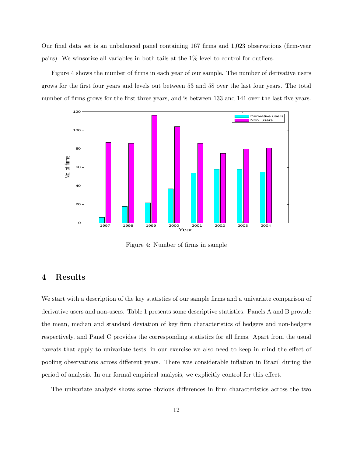Our final data set is an unbalanced panel containing 167 firms and 1,023 observations (firm-year pairs). We winsorize all variables in both tails at the 1% level to control for outliers.

Figure 4 shows the number of firms in each year of our sample. The number of derivative users grows for the first four years and levels out between 53 and 58 over the last four years. The total number of firms grows for the first three years, and is between 133 and 141 over the last five years.



Figure 4: Number of firms in sample

# 4 Results

We start with a description of the key statistics of our sample firms and a univariate comparison of derivative users and non-users. Table 1 presents some descriptive statistics. Panels A and B provide the mean, median and standard deviation of key firm characteristics of hedgers and non-hedgers respectively, and Panel C provides the corresponding statistics for all firms. Apart from the usual caveats that apply to univariate tests, in our exercise we also need to keep in mind the effect of pooling observations across different years. There was considerable inflation in Brazil during the period of analysis. In our formal empirical analysis, we explicitly control for this effect.

The univariate analysis shows some obvious differences in firm characteristics across the two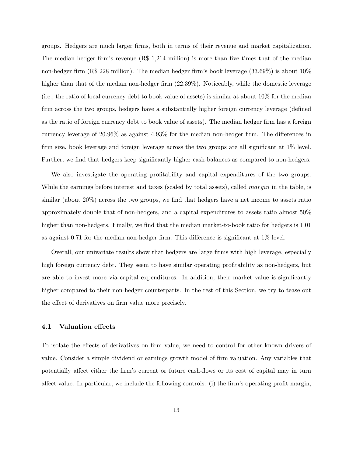groups. Hedgers are much larger firms, both in terms of their revenue and market capitalization. The median hedger firm's revenue (R\$ 1,214 million) is more than five times that of the median non-hedger firm (R\$ 228 million). The median hedger firm's book leverage (33.69%) is about 10% higher than that of the median non-hedger firm  $(22.39\%)$ . Noticeably, while the domestic leverage (i.e., the ratio of local currency debt to book value of assets) is similar at about 10% for the median firm across the two groups, hedgers have a substantially higher foreign currency leverage (defined as the ratio of foreign currency debt to book value of assets). The median hedger firm has a foreign currency leverage of 20.96% as against 4.93% for the median non-hedger firm. The differences in firm size, book leverage and foreign leverage across the two groups are all significant at 1% level. Further, we find that hedgers keep significantly higher cash-balances as compared to non-hedgers.

We also investigate the operating profitability and capital expenditures of the two groups. While the earnings before interest and taxes (scaled by total assets), called *margin* in the table, is similar (about 20%) across the two groups, we find that hedgers have a net income to assets ratio approximately double that of non-hedgers, and a capital expenditures to assets ratio almost 50% higher than non-hedgers. Finally, we find that the median market-to-book ratio for hedgers is 1.01 as against 0.71 for the median non-hedger firm. This difference is significant at 1% level.

Overall, our univariate results show that hedgers are large firms with high leverage, especially high foreign currency debt. They seem to have similar operating profitability as non-hedgers, but are able to invest more via capital expenditures. In addition, their market value is significantly higher compared to their non-hedger counterparts. In the rest of this Section, we try to tease out the effect of derivatives on firm value more precisely.

### 4.1 Valuation effects

To isolate the effects of derivatives on firm value, we need to control for other known drivers of value. Consider a simple dividend or earnings growth model of firm valuation. Any variables that potentially affect either the firm's current or future cash-flows or its cost of capital may in turn affect value. In particular, we include the following controls: (i) the firm's operating profit margin,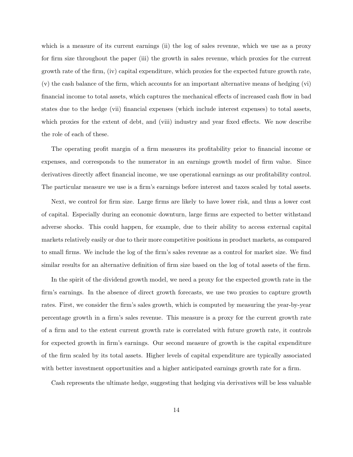which is a measure of its current earnings (ii) the log of sales revenue, which we use as a proxy for firm size throughout the paper (iii) the growth in sales revenue, which proxies for the current growth rate of the firm, (iv) capital expenditure, which proxies for the expected future growth rate, (v) the cash balance of the firm, which accounts for an important alternative means of hedging (vi) financial income to total assets, which captures the mechanical effects of increased cash flow in bad states due to the hedge (vii) financial expenses (which include interest expenses) to total assets, which proxies for the extent of debt, and (viii) industry and year fixed effects. We now describe the role of each of these.

The operating profit margin of a firm measures its profitability prior to financial income or expenses, and corresponds to the numerator in an earnings growth model of firm value. Since derivatives directly affect financial income, we use operational earnings as our profitability control. The particular measure we use is a firm's earnings before interest and taxes scaled by total assets.

Next, we control for firm size. Large firms are likely to have lower risk, and thus a lower cost of capital. Especially during an economic downturn, large firms are expected to better withstand adverse shocks. This could happen, for example, due to their ability to access external capital markets relatively easily or due to their more competitive positions in product markets, as compared to small firms. We include the log of the firm's sales revenue as a control for market size. We find similar results for an alternative definition of firm size based on the log of total assets of the firm.

In the spirit of the dividend growth model, we need a proxy for the expected growth rate in the firm's earnings. In the absence of direct growth forecasts, we use two proxies to capture growth rates. First, we consider the firm's sales growth, which is computed by measuring the year-by-year percentage growth in a firm's sales revenue. This measure is a proxy for the current growth rate of a firm and to the extent current growth rate is correlated with future growth rate, it controls for expected growth in firm's earnings. Our second measure of growth is the capital expenditure of the firm scaled by its total assets. Higher levels of capital expenditure are typically associated with better investment opportunities and a higher anticipated earnings growth rate for a firm.

Cash represents the ultimate hedge, suggesting that hedging via derivatives will be less valuable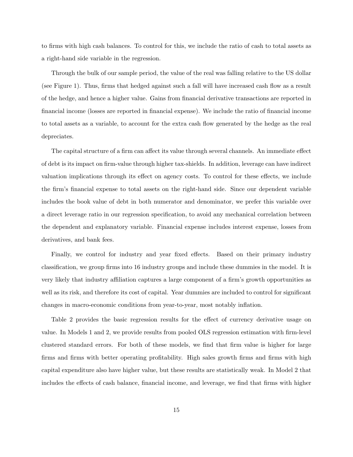to firms with high cash balances. To control for this, we include the ratio of cash to total assets as a right-hand side variable in the regression.

Through the bulk of our sample period, the value of the real was falling relative to the US dollar (see Figure 1). Thus, firms that hedged against such a fall will have increased cash flow as a result of the hedge, and hence a higher value. Gains from financial derivative transactions are reported in financial income (losses are reported in financial expense). We include the ratio of financial income to total assets as a variable, to account for the extra cash flow generated by the hedge as the real depreciates.

The capital structure of a firm can affect its value through several channels. An immediate effect of debt is its impact on firm-value through higher tax-shields. In addition, leverage can have indirect valuation implications through its effect on agency costs. To control for these effects, we include the firm's financial expense to total assets on the right-hand side. Since our dependent variable includes the book value of debt in both numerator and denominator, we prefer this variable over a direct leverage ratio in our regression specification, to avoid any mechanical correlation between the dependent and explanatory variable. Financial expense includes interest expense, losses from derivatives, and bank fees.

Finally, we control for industry and year fixed effects. Based on their primary industry classification, we group firms into 16 industry groups and include these dummies in the model. It is very likely that industry affiliation captures a large component of a firm's growth opportunities as well as its risk, and therefore its cost of capital. Year dummies are included to control for significant changes in macro-economic conditions from year-to-year, most notably inflation.

Table 2 provides the basic regression results for the effect of currency derivative usage on value. In Models 1 and 2, we provide results from pooled OLS regression estimation with firm-level clustered standard errors. For both of these models, we find that firm value is higher for large firms and firms with better operating profitability. High sales growth firms and firms with high capital expenditure also have higher value, but these results are statistically weak. In Model 2 that includes the effects of cash balance, financial income, and leverage, we find that firms with higher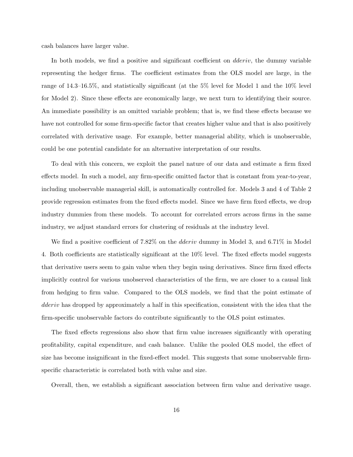cash balances have larger value.

In both models, we find a positive and significant coefficient on *dderiv*, the dummy variable representing the hedger firms. The coefficient estimates from the OLS model are large, in the range of 14.3–16.5%, and statistically significant (at the 5% level for Model 1 and the 10% level for Model 2). Since these effects are economically large, we next turn to identifying their source. An immediate possibility is an omitted variable problem; that is, we find these effects because we have not controlled for some firm-specific factor that creates higher value and that is also positively correlated with derivative usage. For example, better managerial ability, which is unobservable, could be one potential candidate for an alternative interpretation of our results.

To deal with this concern, we exploit the panel nature of our data and estimate a firm fixed effects model. In such a model, any firm-specific omitted factor that is constant from year-to-year, including unobservable managerial skill, is automatically controlled for. Models 3 and 4 of Table 2 provide regression estimates from the fixed effects model. Since we have firm fixed effects, we drop industry dummies from these models. To account for correlated errors across firms in the same industry, we adjust standard errors for clustering of residuals at the industry level.

We find a positive coefficient of 7.82% on the *dderiv* dummy in Model 3, and 6.71% in Model 4. Both coefficients are statistically significant at the 10% level. The fixed effects model suggests that derivative users seem to gain value when they begin using derivatives. Since firm fixed effects implicitly control for various unobserved characteristics of the firm, we are closer to a causal link from hedging to firm value. Compared to the OLS models, we find that the point estimate of dderiv has dropped by approximately a half in this specification, consistent with the idea that the firm-specific unobservable factors do contribute significantly to the OLS point estimates.

The fixed effects regressions also show that firm value increases significantly with operating profitability, capital expenditure, and cash balance. Unlike the pooled OLS model, the effect of size has become insignificant in the fixed-effect model. This suggests that some unobservable firmspecific characteristic is correlated both with value and size.

Overall, then, we establish a significant association between firm value and derivative usage.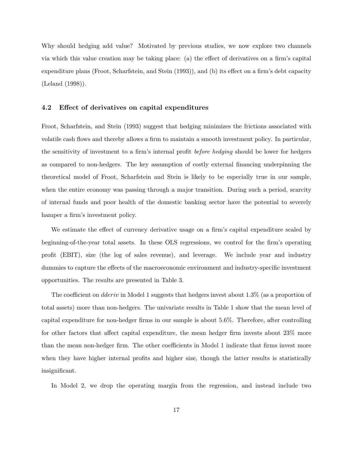Why should hedging add value? Motivated by previous studies, we now explore two channels via which this value creation may be taking place: (a) the effect of derivatives on a firm's capital expenditure plans (Froot, Scharfstein, and Stein (1993)), and (b) its effect on a firm's debt capacity (Leland (1998)).

### 4.2 Effect of derivatives on capital expenditures

Froot, Scharfstein, and Stein (1993) suggest that hedging minimizes the frictions associated with volatile cash flows and thereby allows a firm to maintain a smooth investment policy. In particular, the sensitivity of investment to a firm's internal profit before hedging should be lower for hedgers as compared to non-hedgers. The key assumption of costly external financing underpinning the theoretical model of Froot, Scharfstein and Stein is likely to be especially true in our sample, when the entire economy was passing through a major transition. During such a period, scarcity of internal funds and poor health of the domestic banking sector have the potential to severely hamper a firm's investment policy.

We estimate the effect of currency derivative usage on a firm's capital expenditure scaled by beginning-of-the-year total assets. In these OLS regressions, we control for the firm's operating profit (EBIT), size (the log of sales revenue), and leverage. We include year and industry dummies to capture the effects of the macroeconomic environment and industry-specific investment opportunities. The results are presented in Table 3.

The coefficient on *dderiv* in Model 1 suggests that hedgers invest about 1.3% (as a proportion of total assets) more than non-hedgers. The univariate results in Table 1 show that the mean level of capital expenditure for non-hedger firms in our sample is about 5.6%. Therefore, after controlling for other factors that affect capital expenditure, the mean hedger firm invests about 23% more than the mean non-hedger firm. The other coefficients in Model 1 indicate that firms invest more when they have higher internal profits and higher size, though the latter results is statistically insignificant.

In Model 2, we drop the operating margin from the regression, and instead include two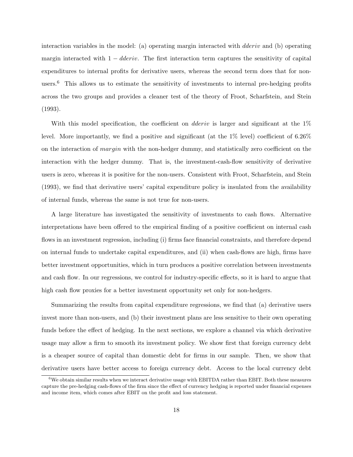interaction variables in the model: (a) operating margin interacted with dderiv and (b) operating margin interacted with  $1 - dderiv$ . The first interaction term captures the sensitivity of capital expenditures to internal profits for derivative users, whereas the second term does that for nonusers.<sup>6</sup> This allows us to estimate the sensitivity of investments to internal pre-hedging profits across the two groups and provides a cleaner test of the theory of Froot, Scharfstein, and Stein (1993).

With this model specification, the coefficient on *dderiv* is larger and significant at the 1% level. More importantly, we find a positive and significant (at the 1% level) coefficient of 6.26% on the interaction of *margin* with the non-hedger dummy, and statistically zero coefficient on the interaction with the hedger dummy. That is, the investment-cash-flow sensitivity of derivative users is zero, whereas it is positive for the non-users. Consistent with Froot, Scharfstein, and Stein (1993), we find that derivative users' capital expenditure policy is insulated from the availability of internal funds, whereas the same is not true for non-users.

A large literature has investigated the sensitivity of investments to cash flows. Alternative interpretations have been offered to the empirical finding of a positive coefficient on internal cash flows in an investment regression, including (i) firms face financial constraints, and therefore depend on internal funds to undertake capital expenditures, and (ii) when cash-flows are high, firms have better investment opportunities, which in turn produces a positive correlation between investments and cash flow. In our regressions, we control for industry-specific effects, so it is hard to argue that high cash flow proxies for a better investment opportunity set only for non-hedgers.

Summarizing the results from capital expenditure regressions, we find that (a) derivative users invest more than non-users, and (b) their investment plans are less sensitive to their own operating funds before the effect of hedging. In the next sections, we explore a channel via which derivative usage may allow a firm to smooth its investment policy. We show first that foreign currency debt is a cheaper source of capital than domestic debt for firms in our sample. Then, we show that derivative users have better access to foreign currency debt. Access to the local currency debt

<sup>6</sup>We obtain similar results when we interact derivative usage with EBITDA rather than EBIT. Both these measures capture the pre-hedging cash-flows of the firm since the effect of currency hedging is reported under financial expenses and income item, which comes after EBIT on the profit and loss statement.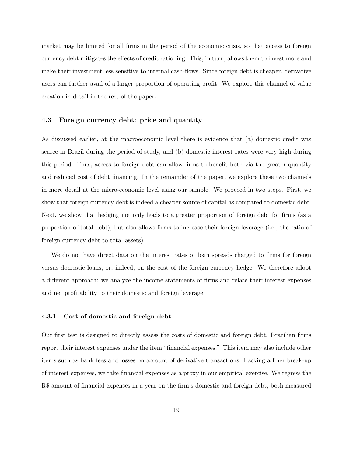market may be limited for all firms in the period of the economic crisis, so that access to foreign currency debt mitigates the effects of credit rationing. This, in turn, allows them to invest more and make their investment less sensitive to internal cash-flows. Since foreign debt is cheaper, derivative users can further avail of a larger proportion of operating profit. We explore this channel of value creation in detail in the rest of the paper.

### 4.3 Foreign currency debt: price and quantity

As discussed earlier, at the macroeconomic level there is evidence that (a) domestic credit was scarce in Brazil during the period of study, and (b) domestic interest rates were very high during this period. Thus, access to foreign debt can allow firms to benefit both via the greater quantity and reduced cost of debt financing. In the remainder of the paper, we explore these two channels in more detail at the micro-economic level using our sample. We proceed in two steps. First, we show that foreign currency debt is indeed a cheaper source of capital as compared to domestic debt. Next, we show that hedging not only leads to a greater proportion of foreign debt for firms (as a proportion of total debt), but also allows firms to increase their foreign leverage (i.e., the ratio of foreign currency debt to total assets).

We do not have direct data on the interest rates or loan spreads charged to firms for foreign versus domestic loans, or, indeed, on the cost of the foreign currency hedge. We therefore adopt a different approach: we analyze the income statements of firms and relate their interest expenses and net profitability to their domestic and foreign leverage.

### 4.3.1 Cost of domestic and foreign debt

Our first test is designed to directly assess the costs of domestic and foreign debt. Brazilian firms report their interest expenses under the item "financial expenses." This item may also include other items such as bank fees and losses on account of derivative transactions. Lacking a finer break-up of interest expenses, we take financial expenses as a proxy in our empirical exercise. We regress the R\$ amount of financial expenses in a year on the firm's domestic and foreign debt, both measured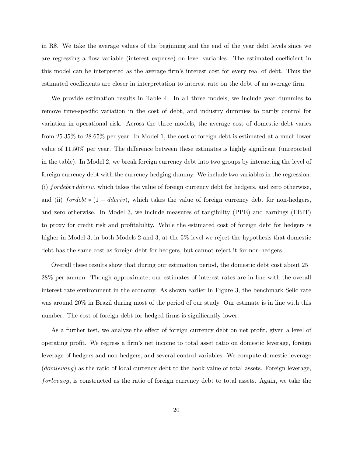in R\$. We take the average values of the beginning and the end of the year debt levels since we are regressing a flow variable (interest expense) on level variables. The estimated coefficient in this model can be interpreted as the average firm's interest cost for every real of debt. Thus the estimated coefficients are closer in interpretation to interest rate on the debt of an average firm.

We provide estimation results in Table 4. In all three models, we include year dummies to remove time-specific variation in the cost of debt, and industry dummies to partly control for variation in operational risk. Across the three models, the average cost of domestic debt varies from 25.35% to 28.65% per year. In Model 1, the cost of foreign debt is estimated at a much lower value of 11.50% per year. The difference between these estimates is highly significant (unreported in the table). In Model 2, we break foreign currency debt into two groups by interacting the level of foreign currency debt with the currency hedging dummy. We include two variables in the regression: (i) fordebt ∗ dderiv, which takes the value of foreign currency debt for hedgers, and zero otherwise, and (ii)  $for debt * (1 - dderiv)$ , which takes the value of foreign currency debt for non-hedgers, and zero otherwise. In Model 3, we include measures of tangibility (PPE) and earnings (EBIT) to proxy for credit risk and profitability. While the estimated cost of foreign debt for hedgers is higher in Model 3, in both Models 2 and 3, at the 5% level we reject the hypothesis that domestic debt has the same cost as foreign debt for hedgers, but cannot reject it for non-hedgers.

Overall these results show that during our estimation period, the domestic debt cost about 25– 28% per annum. Though approximate, our estimates of interest rates are in line with the overall interest rate environment in the economy. As shown earlier in Figure 3, the benchmark Selic rate was around 20% in Brazil during most of the period of our study. Our estimate is in line with this number. The cost of foreign debt for hedged firms is significantly lower.

As a further test, we analyze the effect of foreign currency debt on net profit, given a level of operating profit. We regress a firm's net income to total asset ratio on domestic leverage, foreign leverage of hedgers and non-hedgers, and several control variables. We compute domestic leverage (domlevavg) as the ratio of local currency debt to the book value of total assets. Foreign leverage, forlevavg, is constructed as the ratio of foreign currency debt to total assets. Again, we take the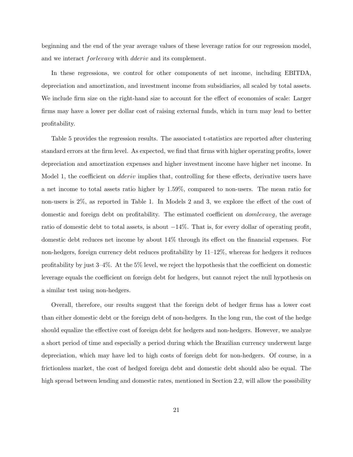beginning and the end of the year average values of these leverage ratios for our regression model, and we interact forlevavg with dderiv and its complement.

In these regressions, we control for other components of net income, including EBITDA, depreciation and amortization, and investment income from subsidiaries, all scaled by total assets. We include firm size on the right-hand size to account for the effect of economies of scale: Larger firms may have a lower per dollar cost of raising external funds, which in turn may lead to better profitability.

Table 5 provides the regression results. The associated t-statistics are reported after clustering standard errors at the firm level. As expected, we find that firms with higher operating profits, lower depreciation and amortization expenses and higher investment income have higher net income. In Model 1, the coefficient on *dderiv* implies that, controlling for these effects, derivative users have a net income to total assets ratio higher by 1.59%, compared to non-users. The mean ratio for non-users is 2%, as reported in Table 1. In Models 2 and 3, we explore the effect of the cost of domestic and foreign debt on profitability. The estimated coefficient on domlevavg, the average ratio of domestic debt to total assets, is about  $-14\%$ . That is, for every dollar of operating profit, domestic debt reduces net income by about 14% through its effect on the financial expenses. For non-hedgers, foreign currency debt reduces profitability by 11–12%, whereas for hedgers it reduces profitability by just 3–4%. At the 5% level, we reject the hypothesis that the coefficient on domestic leverage equals the coefficient on foreign debt for hedgers, but cannot reject the null hypothesis on a similar test using non-hedgers.

Overall, therefore, our results suggest that the foreign debt of hedger firms has a lower cost than either domestic debt or the foreign debt of non-hedgers. In the long run, the cost of the hedge should equalize the effective cost of foreign debt for hedgers and non-hedgers. However, we analyze a short period of time and especially a period during which the Brazilian currency underwent large depreciation, which may have led to high costs of foreign debt for non-hedgers. Of course, in a frictionless market, the cost of hedged foreign debt and domestic debt should also be equal. The high spread between lending and domestic rates, mentioned in Section 2.2, will allow the possibility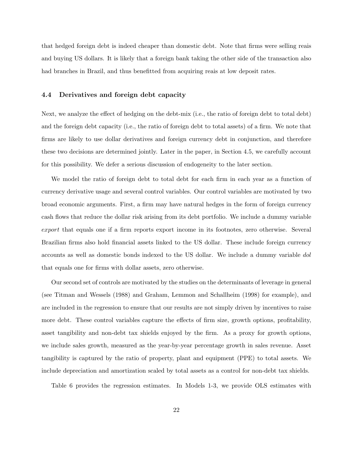that hedged foreign debt is indeed cheaper than domestic debt. Note that firms were selling reais and buying US dollars. It is likely that a foreign bank taking the other side of the transaction also had branches in Brazil, and thus benefitted from acquiring reais at low deposit rates.

### 4.4 Derivatives and foreign debt capacity

Next, we analyze the effect of hedging on the debt-mix (i.e., the ratio of foreign debt to total debt) and the foreign debt capacity (i.e., the ratio of foreign debt to total assets) of a firm. We note that firms are likely to use dollar derivatives and foreign currency debt in conjunction, and therefore these two decisions are determined jointly. Later in the paper, in Section 4.5, we carefully account for this possibility. We defer a serious discussion of endogeneity to the later section.

We model the ratio of foreign debt to total debt for each firm in each year as a function of currency derivative usage and several control variables. Our control variables are motivated by two broad economic arguments. First, a firm may have natural hedges in the form of foreign currency cash flows that reduce the dollar risk arising from its debt portfolio. We include a dummy variable export that equals one if a firm reports export income in its footnotes, zero otherwise. Several Brazilian firms also hold financial assets linked to the US dollar. These include foreign currency accounts as well as domestic bonds indexed to the US dollar. We include a dummy variable dol that equals one for firms with dollar assets, zero otherwise.

Our second set of controls are motivated by the studies on the determinants of leverage in general (see Titman and Wessels (1988) and Graham, Lemmon and Schallheim (1998) for example), and are included in the regression to ensure that our results are not simply driven by incentives to raise more debt. These control variables capture the effects of firm size, growth options, profitability, asset tangibility and non-debt tax shields enjoyed by the firm. As a proxy for growth options, we include sales growth, measured as the year-by-year percentage growth in sales revenue. Asset tangibility is captured by the ratio of property, plant and equipment (PPE) to total assets. We include depreciation and amortization scaled by total assets as a control for non-debt tax shields.

Table 6 provides the regression estimates. In Models 1-3, we provide OLS estimates with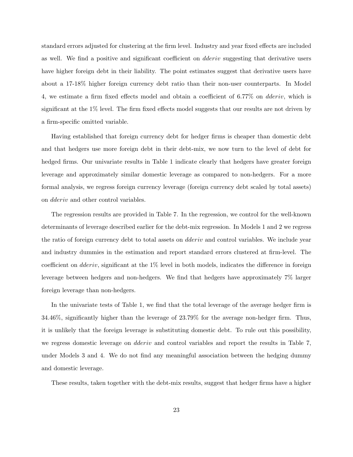standard errors adjusted for clustering at the firm level. Industry and year fixed effects are included as well. We find a positive and significant coefficient on dderiv suggesting that derivative users have higher foreign debt in their liability. The point estimates suggest that derivative users have about a 17-18% higher foreign currency debt ratio than their non-user counterparts. In Model 4, we estimate a firm fixed effects model and obtain a coefficient of 6.77% on dderiv, which is significant at the 1% level. The firm fixed effects model suggests that our results are not driven by a firm-specific omitted variable.

Having established that foreign currency debt for hedger firms is cheaper than domestic debt and that hedgers use more foreign debt in their debt-mix, we now turn to the level of debt for hedged firms. Our univariate results in Table 1 indicate clearly that hedgers have greater foreign leverage and approximately similar domestic leverage as compared to non-hedgers. For a more formal analysis, we regress foreign currency leverage (foreign currency debt scaled by total assets) on dderiv and other control variables.

The regression results are provided in Table 7. In the regression, we control for the well-known determinants of leverage described earlier for the debt-mix regression. In Models 1 and 2 we regress the ratio of foreign currency debt to total assets on *dderiv* and control variables. We include year and industry dummies in the estimation and report standard errors clustered at firm-level. The coefficient on *dderiv*, significant at the  $1\%$  level in both models, indicates the difference in foreign leverage between hedgers and non-hedgers. We find that hedgers have approximately 7% larger foreign leverage than non-hedgers.

In the univariate tests of Table 1, we find that the total leverage of the average hedger firm is 34.46%, significantly higher than the leverage of 23.79% for the average non-hedger firm. Thus, it is unlikely that the foreign leverage is substituting domestic debt. To rule out this possibility, we regress domestic leverage on *dderiv* and control variables and report the results in Table 7, under Models 3 and 4. We do not find any meaningful association between the hedging dummy and domestic leverage.

These results, taken together with the debt-mix results, suggest that hedger firms have a higher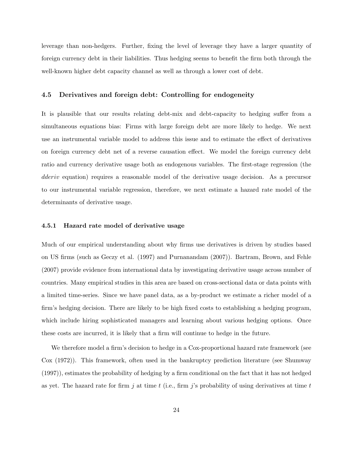leverage than non-hedgers. Further, fixing the level of leverage they have a larger quantity of foreign currency debt in their liabilities. Thus hedging seems to benefit the firm both through the well-known higher debt capacity channel as well as through a lower cost of debt.

### 4.5 Derivatives and foreign debt: Controlling for endogeneity

It is plausible that our results relating debt-mix and debt-capacity to hedging suffer from a simultaneous equations bias: Firms with large foreign debt are more likely to hedge. We next use an instrumental variable model to address this issue and to estimate the effect of derivatives on foreign currency debt net of a reverse causation effect. We model the foreign currency debt ratio and currency derivative usage both as endogenous variables. The first-stage regression (the dderiv equation) requires a reasonable model of the derivative usage decision. As a precursor to our instrumental variable regression, therefore, we next estimate a hazard rate model of the determinants of derivative usage.

### 4.5.1 Hazard rate model of derivative usage

Much of our empirical understanding about why firms use derivatives is driven by studies based on US firms (such as Geczy et al. (1997) and Purnanandam (2007)). Bartram, Brown, and Fehle (2007) provide evidence from international data by investigating derivative usage across number of countries. Many empirical studies in this area are based on cross-sectional data or data points with a limited time-series. Since we have panel data, as a by-product we estimate a richer model of a firm's hedging decision. There are likely to be high fixed costs to establishing a hedging program, which include hiring sophisticated managers and learning about various hedging options. Once these costs are incurred, it is likely that a firm will continue to hedge in the future.

We therefore model a firm's decision to hedge in a Cox-proportional hazard rate framework (see Cox (1972)). This framework, often used in the bankruptcy prediction literature (see Shumway (1997)), estimates the probability of hedging by a firm conditional on the fact that it has not hedged as yet. The hazard rate for firm j at time t (i.e., firm j's probability of using derivatives at time t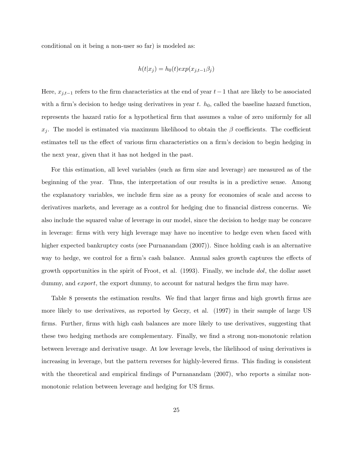conditional on it being a non-user so far) is modeled as:

$$
h(t|x_j) = h_0(t) \exp(x_{j,t-1}\beta_j)
$$

Here,  $x_{j,t-1}$  refers to the firm characteristics at the end of year  $t-1$  that are likely to be associated with a firm's decision to hedge using derivatives in year t.  $h_0$ , called the baseline hazard function, represents the hazard ratio for a hypothetical firm that assumes a value of zero uniformly for all  $x_i$ . The model is estimated via maximum likelihood to obtain the  $\beta$  coefficients. The coefficient estimates tell us the effect of various firm characteristics on a firm's decision to begin hedging in the next year, given that it has not hedged in the past.

For this estimation, all level variables (such as firm size and leverage) are measured as of the beginning of the year. Thus, the interpretation of our results is in a predictive sense. Among the explanatory variables, we include firm size as a proxy for economies of scale and access to derivatives markets, and leverage as a control for hedging due to financial distress concerns. We also include the squared value of leverage in our model, since the decision to hedge may be concave in leverage: firms with very high leverage may have no incentive to hedge even when faced with higher expected bankruptcy costs (see Purnanandam (2007)). Since holding cash is an alternative way to hedge, we control for a firm's cash balance. Annual sales growth captures the effects of growth opportunities in the spirit of Froot, et al. (1993). Finally, we include dol, the dollar asset dummy, and *export*, the export dummy, to account for natural hedges the firm may have.

Table 8 presents the estimation results. We find that larger firms and high growth firms are more likely to use derivatives, as reported by Geczy, et al. (1997) in their sample of large US firms. Further, firms with high cash balances are more likely to use derivatives, suggesting that these two hedging methods are complementary. Finally, we find a strong non-monotonic relation between leverage and derivative usage. At low leverage levels, the likelihood of using derivatives is increasing in leverage, but the pattern reverses for highly-levered firms. This finding is consistent with the theoretical and empirical findings of Purnanandam (2007), who reports a similar nonmonotonic relation between leverage and hedging for US firms.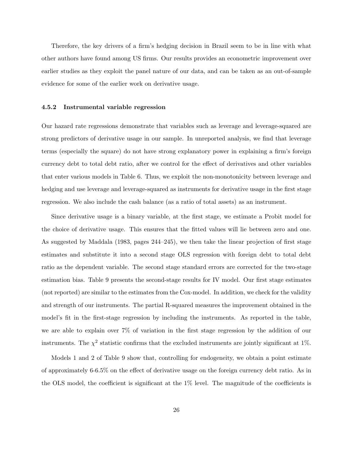Therefore, the key drivers of a firm's hedging decision in Brazil seem to be in line with what other authors have found among US firms. Our results provides an econometric improvement over earlier studies as they exploit the panel nature of our data, and can be taken as an out-of-sample evidence for some of the earlier work on derivative usage.

### 4.5.2 Instrumental variable regression

Our hazard rate regressions demonstrate that variables such as leverage and leverage-squared are strong predictors of derivative usage in our sample. In unreported analysis, we find that leverage terms (especially the square) do not have strong explanatory power in explaining a firm's foreign currency debt to total debt ratio, after we control for the effect of derivatives and other variables that enter various models in Table 6. Thus, we exploit the non-monotonicity between leverage and hedging and use leverage and leverage-squared as instruments for derivative usage in the first stage regression. We also include the cash balance (as a ratio of total assets) as an instrument.

Since derivative usage is a binary variable, at the first stage, we estimate a Probit model for the choice of derivative usage. This ensures that the fitted values will lie between zero and one. As suggested by Maddala (1983, pages 244–245), we then take the linear projection of first stage estimates and substitute it into a second stage OLS regression with foreign debt to total debt ratio as the dependent variable. The second stage standard errors are corrected for the two-stage estimation bias. Table 9 presents the second-stage results for IV model. Our first stage estimates (not reported) are similar to the estimates from the Cox-model. In addition, we check for the validity and strength of our instruments. The partial R-squared measures the improvement obtained in the model's fit in the first-stage regression by including the instruments. As reported in the table, we are able to explain over 7% of variation in the first stage regression by the addition of our instruments. The  $\chi^2$  statistic confirms that the excluded instruments are jointly significant at 1%.

Models 1 and 2 of Table 9 show that, controlling for endogeneity, we obtain a point estimate of approximately 6-6.5% on the effect of derivative usage on the foreign currency debt ratio. As in the OLS model, the coefficient is significant at the 1% level. The magnitude of the coefficients is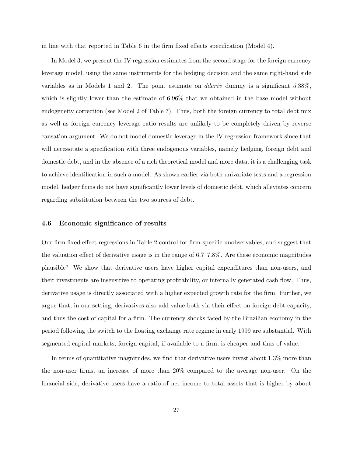in line with that reported in Table 6 in the firm fixed effects specification (Model 4).

In Model 3, we present the IV regression estimates from the second stage for the foreign currency leverage model, using the same instruments for the hedging decision and the same right-hand side variables as in Models 1 and 2. The point estimate on dderiv dummy is a significant 5.38%, which is slightly lower than the estimate of 6.96% that we obtained in the base model without endogeneity correction (see Model 2 of Table 7). Thus, both the foreign currency to total debt mix as well as foreign currency leverage ratio results are unlikely to be completely driven by reverse causation argument. We do not model domestic leverage in the IV regression framework since that will necessitate a specification with three endogenous variables, namely hedging, foreign debt and domestic debt, and in the absence of a rich theoretical model and more data, it is a challenging task to achieve identification in such a model. As shown earlier via both univariate tests and a regression model, hedger firms do not have significantly lower levels of domestic debt, which alleviates concern regarding substitution between the two sources of debt.

### 4.6 Economic significance of results

Our firm fixed effect regressions in Table 2 control for firm-specific unobservables, and suggest that the valuation effect of derivative usage is in the range of 6.7–7.8%. Are these economic magnitudes plausible? We show that derivative users have higher capital expenditures than non-users, and their investments are insensitive to operating profitability, or internally generated cash flow. Thus, derivative usage is directly associated with a higher expected growth rate for the firm. Further, we argue that, in our setting, derivatives also add value both via their effect on foreign debt capacity, and thus the cost of capital for a firm. The currency shocks faced by the Brazilian economy in the period following the switch to the floating exchange rate regime in early 1999 are substantial. With segmented capital markets, foreign capital, if available to a firm, is cheaper and thus of value.

In terms of quantitative magnitudes, we find that derivative users invest about 1.3% more than the non-user firms, an increase of more than 20% compared to the average non-user. On the financial side, derivative users have a ratio of net income to total assets that is higher by about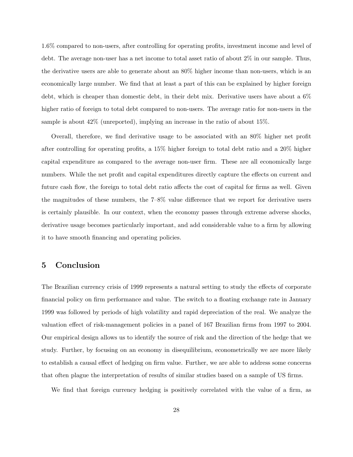1.6% compared to non-users, after controlling for operating profits, investment income and level of debt. The average non-user has a net income to total asset ratio of about 2% in our sample. Thus, the derivative users are able to generate about an 80% higher income than non-users, which is an economically large number. We find that at least a part of this can be explained by higher foreign debt, which is cheaper than domestic debt, in their debt mix. Derivative users have about a 6% higher ratio of foreign to total debt compared to non-users. The average ratio for non-users in the sample is about 42% (unreported), implying an increase in the ratio of about 15%.

Overall, therefore, we find derivative usage to be associated with an 80% higher net profit after controlling for operating profits, a 15% higher foreign to total debt ratio and a 20% higher capital expenditure as compared to the average non-user firm. These are all economically large numbers. While the net profit and capital expenditures directly capture the effects on current and future cash flow, the foreign to total debt ratio affects the cost of capital for firms as well. Given the magnitudes of these numbers, the 7–8% value difference that we report for derivative users is certainly plausible. In our context, when the economy passes through extreme adverse shocks, derivative usage becomes particularly important, and add considerable value to a firm by allowing it to have smooth financing and operating policies.

# 5 Conclusion

The Brazilian currency crisis of 1999 represents a natural setting to study the effects of corporate financial policy on firm performance and value. The switch to a floating exchange rate in January 1999 was followed by periods of high volatility and rapid depreciation of the real. We analyze the valuation effect of risk-management policies in a panel of 167 Brazilian firms from 1997 to 2004. Our empirical design allows us to identify the source of risk and the direction of the hedge that we study. Further, by focusing on an economy in disequilibrium, econometrically we are more likely to establish a causal effect of hedging on firm value. Further, we are able to address some concerns that often plague the interpretation of results of similar studies based on a sample of US firms.

We find that foreign currency hedging is positively correlated with the value of a firm, as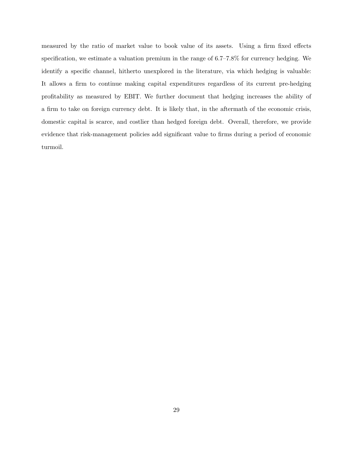measured by the ratio of market value to book value of its assets. Using a firm fixed effects specification, we estimate a valuation premium in the range of 6.7–7.8% for currency hedging. We identify a specific channel, hitherto unexplored in the literature, via which hedging is valuable: It allows a firm to continue making capital expenditures regardless of its current pre-hedging profitability as measured by EBIT. We further document that hedging increases the ability of a firm to take on foreign currency debt. It is likely that, in the aftermath of the economic crisis, domestic capital is scarce, and costlier than hedged foreign debt. Overall, therefore, we provide evidence that risk-management policies add significant value to firms during a period of economic turmoil.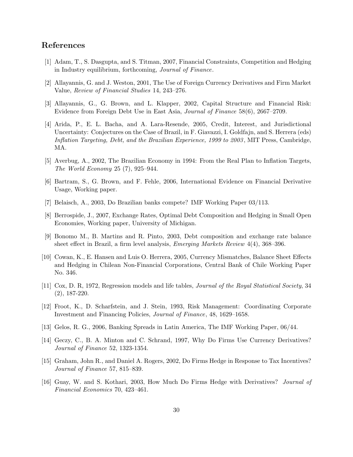# References

- [1] Adam, T., S. Dasgupta, and S. Titman, 2007, Financial Constraints, Competition and Hedging in Industry equilibrium, forthcoming, Journal of Finance.
- [2] Allayannis, G. and J. Weston, 2001, The Use of Foreign Currency Derivatives and Firm Market Value, Review of Financial Studies 14, 243–276.
- [3] Allayannis, G., G. Brown, and L. Klapper, 2002, Capital Structure and Financial Risk: Evidence from Foreign Debt Use in East Asia, Journal of Finance 58(6), 2667–2709.
- [4] Arida, P., E. L. Bacha, and A. Lara-Resende, 2005, Credit, Interest, and Jurisdictional Uncertainty: Conjectures on the Case of Brazil, in F. Giavazzi, I. Goldfajn, and S. Herrera (eds) Inflation Targeting, Debt, and the Brazilian Experience, 1999 to 2003 , MIT Press, Cambridge, MA.
- [5] Averbug, A., 2002, The Brazilian Economy in 1994: From the Real Plan to Inflation Targets, The World Economy 25 (7), 925–944.
- [6] Bartram, S., G. Brown, and F. Fehle, 2006, International Evidence on Financial Derivative Usage, Working paper.
- [7] Belaisch, A., 2003, Do Brazilian banks compete? IMF Working Paper 03/113.
- [8] Berrospide, J., 2007, Exchange Rates, Optimal Debt Composition and Hedging in Small Open Economies, Working paper, University of Michigan.
- [9] Bonomo M., B. Martins and R. Pinto, 2003, Debt composition and exchange rate balance sheet effect in Brazil, a firm level analysis, Emerging Markets Review 4(4), 368–396.
- [10] Cowan, K., E. Hansen and Luis O. Herrera, 2005, Currency Mismatches, Balance Sheet Effects and Hedging in Chilean Non-Financial Corporations, Central Bank of Chile Working Paper No. 346.
- [11] Cox, D. R, 1972, Regression models and life tables, Journal of the Royal Statistical Society, 34 (2), 187-220.
- [12] Froot, K., D. Scharfstein, and J. Stein, 1993, Risk Management: Coordinating Corporate Investment and Financing Policies, Journal of Finance, 48, 1629–1658.
- [13] Gelos, R. G., 2006, Banking Spreads in Latin America, The IMF Working Paper, 06/44.
- [14] Geczy, C., B. A. Minton and C. Schrand, 1997, Why Do Firms Use Currency Derivatives? Journal of Finance 52, 1323-1354.
- [15] Graham, John R., and Daniel A. Rogers, 2002, Do Firms Hedge in Response to Tax Incentives? Journal of Finance 57, 815–839.
- [16] Guay, W. and S. Kothari, 2003, How Much Do Firms Hedge with Derivatives? Journal of Financial Economics 70, 423–461.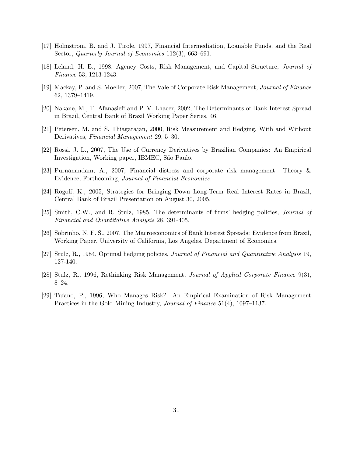- [17] Holmstrom, B. and J. Tirole, 1997, Financial Intermediation, Loanable Funds, and the Real Sector, *Quarterly Journal of Economics* 112(3), 663-691.
- [18] Leland, H. E., 1998, Agency Costs, Risk Management, and Capital Structure, Journal of Finance 53, 1213-1243.
- [19] Mackay, P. and S. Moeller, 2007, The Vale of Corporate Risk Management, Journal of Finance 62, 1379–1419.
- [20] Nakane, M., T. Afanasieff and P. V. Lhacer, 2002, The Determinants of Bank Interest Spread in Brazil, Central Bank of Brazil Working Paper Series, 46.
- [21] Petersen, M. and S. Thiagarajan, 2000, Risk Measurement and Hedging, With and Without Derivatives, Financial Management 29, 5–30.
- [22] Rossi, J. L., 2007, The Use of Currency Derivatives by Brazilian Companies: An Empirical Investigation, Working paper, IBMEC, São Paulo.
- [23] Purnanandam, A., 2007, Financial distress and corporate risk management: Theory & Evidence, Forthcoming, Journal of Financial Economics.
- [24] Rogoff, K., 2005, Strategies for Bringing Down Long-Term Real Interest Rates in Brazil, Central Bank of Brazil Presentation on August 30, 2005.
- [25] Smith, C.W., and R. Stulz, 1985, The determinants of firms' hedging policies, Journal of Financial and Quantitative Analysis 28, 391-405.
- [26] Sobrinho, N. F. S., 2007, The Macroeconomics of Bank Interest Spreads: Evidence from Brazil, Working Paper, University of California, Los Angeles, Department of Economics.
- [27] Stulz, R., 1984, Optimal hedging policies, Journal of Financial and Quantitative Analysis 19, 127-140.
- [28] Stulz, R., 1996, Rethinking Risk Management, Journal of Applied Corporate Finance 9(3), 8–24.
- [29] Tufano, P., 1996, Who Manages Risk? An Empirical Examination of Risk Management Practices in the Gold Mining Industry, Journal of Finance 51(4), 1097–1137.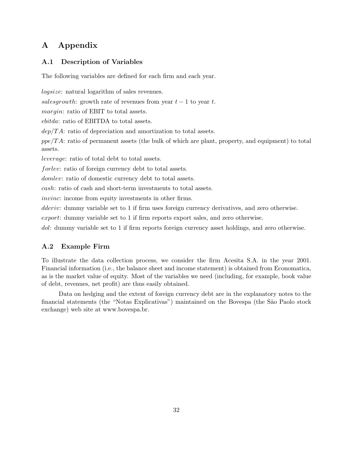# A Appendix

# A.1 Description of Variables

The following variables are defined for each firm and each year.

logsize: natural logarithm of sales revenues. salesgrowth: growth rate of revenues from year  $t - 1$  to year t. margin: ratio of EBIT to total assets. ebitda: ratio of EBITDA to total assets.  $dep/TA$ : ratio of depreciation and amortization to total assets.  $ppe/TA$ : ratio of permanent assets (the bulk of which are plant, property, and equipment) to total assets. leverage: ratio of total debt to total assets. forlev: ratio of foreign currency debt to total assets. domlev: ratio of domestic currency debt to total assets. cash: ratio of cash and short-term investments to total assets. invinc: income from equity investments in other firms. dderiv: dummy variable set to 1 if firm uses foreign currency derivatives, and zero otherwise.

export: dummy variable set to 1 if firm reports export sales, and zero otherwise.

dol: dummy variable set to 1 if firm reports foreign currency asset holdings, and zero otherwise.

# A.2 Example Firm

To illustrate the data collection process, we consider the firm Acesita S.A. in the year 2001. Financial information (i.e., the balance sheet and income statement) is obtained from Economatica, as is the market value of equity. Most of the variables we need (including, for example, book value of debt, revenues, net profit) are thus easily obtained.

Data on hedging and the extent of foreign currency debt are in the explanatory notes to the financial statements (the "Notas Explicativas") maintained on the Bovespa (the São Paolo stock exchange) web site at www.bovespa.br.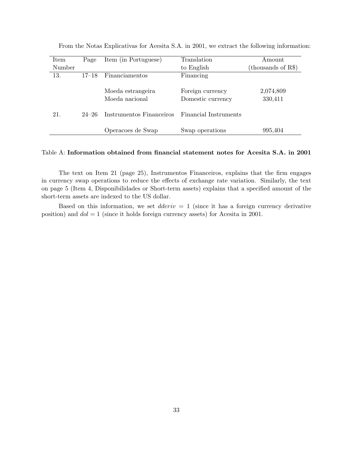| Item   | Page      | Item (in Portuguese)     | Translation           | Amount               |
|--------|-----------|--------------------------|-----------------------|----------------------|
| Number |           |                          | to English            | (thousands of $R\$ ) |
| 13.    | $17 - 18$ | Financiamentos           | Financing             |                      |
|        |           |                          |                       |                      |
|        |           | Moeda estrangeira        | Foreign currency      | 2,074,809            |
|        |           | Moeda nacional           | Domestic currency     | 330,411              |
|        |           |                          |                       |                      |
| 21.    | $24 - 26$ | Instrumentos Financeiros | Financial Instruments |                      |
|        |           |                          |                       |                      |
|        |           | Operacoes de Swap        | Swap operations       | 995,404              |

From the Notas Explicativas for Acesita S.A. in 2001, we extract the following information:

### Table A: Information obtained from financial statement notes for Acesita S.A. in 2001

The text on Item 21 (page 25), Instrumentos Financeiros, explains that the firm engages in currency swap operations to reduce the effects of exchange rate variation. Similarly, the text on page 5 (Item 4, Disponibilidades or Short-term assets) explains that a specified amount of the short-term assets are indexed to the US dollar.

Based on this information, we set  $dderiv = 1$  (since it has a foreign currency derivative position) and  $dol = 1$  (since it holds foreign currency assets) for Acesita in 2001.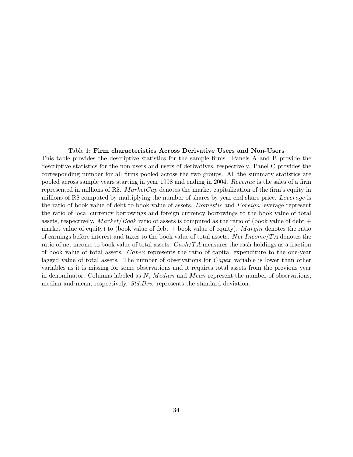### Table 1: Firm characteristics Across Derivative Users and Non-Users

This table provides the descriptive statistics for the sample firms. Panels A and B provide the descriptive statistics for the non-users and users of derivatives, respectively. Panel C provides the corresponding number for all firms pooled across the two groups. All the summary statistics are pooled across sample years starting in year 1998 and ending in 2004. Revenue is the sales of a firm represented in millions of R\$. MarketCap denotes the market capitalization of the firm's equity in millions of R\$ computed by multiplying the number of shares by year end share price. Leverage is the ratio of book value of debt to book value of assets. Domestic and Foreign leverage represent the ratio of local currency borrowings and foreign currency borrowings to the book value of total assets, respectively. Market/Book ratio of assets is computed as the ratio of (book value of debt + market value of equity) to (book value of debt  $+$  book value of equity). Margin denotes the ratio of earnings before interest and taxes to the book value of total assets. Net Income/TA denotes the ratio of net income to book value of total assets.  $Cash/TA$  measures the cash-holdings as a fraction of book value of total assets. Capex represents the ratio of capital expenditure to the one-year lagged value of total assets. The number of observations for *Capex* variable is lower than other variables as it is missing for some observations and it requires total assets from the previous year in denominator. Columns labeled as N, Median and Mean represent the number of observations, median and mean, respectively. *Std.Dev.* represents the standard deviation.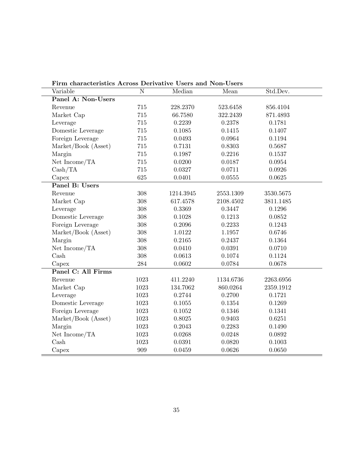| Variable                  | $\mathbf N$ | Median    | Mean      | Std.Dev.  |  |
|---------------------------|-------------|-----------|-----------|-----------|--|
| Panel A: Non-Users        |             |           |           |           |  |
| Revenue                   | 715         | 228.2370  | 523.6458  | 856.4104  |  |
| Market Cap                | 715         | 66.7580   | 322.2439  | 871.4893  |  |
| Leverage                  | $715\,$     | 0.2239    | 0.2378    | 0.1781    |  |
| Domestic Leverage         | 715         | 0.1085    | 0.1415    | 0.1407    |  |
| Foreign Leverage          | 715         | 0.0493    | 0.0964    | 0.1194    |  |
| Market/Book (Asset)       | 715         | 0.7131    | 0.8303    | 0.5687    |  |
| Margin                    | 715         | 0.1987    | 0.2216    | 0.1537    |  |
| Net Income/TA             | 715         | 0.0200    | 0.0187    | 0.0954    |  |
| Cash/TA                   | 715         | 0.0327    | 0.0711    | 0.0926    |  |
| Capex                     | 625         | 0.0401    | 0.0555    | 0.0625    |  |
| Panel B: Users            |             |           |           |           |  |
| Revenue                   | 308         | 1214.3945 | 2553.1309 | 3530.5675 |  |
| Market Cap                | 308         | 617.4578  | 2108.4502 | 3811.1485 |  |
| Leverage                  | 308         | 0.3369    | 0.3447    | 0.1296    |  |
| Domestic Leverage         | 308         | 0.1028    | 0.1213    | 0.0852    |  |
| Foreign Leverage          | 308         | 0.2096    | 0.2233    | 0.1243    |  |
| Market/Book (Asset)       | 308         | 1.0122    | 1.1957    | 0.6746    |  |
| Margin                    | 308         | 0.2165    | 0.2437    | 0.1364    |  |
| Net Income/TA             | 308         | 0.0410    | 0.0391    | 0.0710    |  |
| $\operatorname{Cash}$     | 308         | 0.0613    | 0.1074    | 0.1124    |  |
| Capex                     | 284         | 0.0602    | 0.0784    | 0.0678    |  |
| <b>Panel C: All Firms</b> |             |           |           |           |  |
| Revenue                   | 1023        | 411.2240  | 1134.6736 | 2263.6956 |  |
| Market Cap                | 1023        | 134.7062  | 860.0264  | 2359.1912 |  |
| Leverage                  | 1023        | 0.2744    | 0.2700    | 0.1721    |  |
| Domestic Leverage         | 1023        | 0.1055    | 0.1354    | 0.1269    |  |
| Foreign Leverage          | 1023        | 0.1052    | 0.1346    | 0.1341    |  |
| Market/Book (Asset)       | 1023        | 0.8025    | 0.9403    | 0.6251    |  |
| Margin                    | 1023        | 0.2043    | 0.2283    | 0.1490    |  |
| Net Income/TA             | 1023        | 0.0268    | 0.0248    | 0.0892    |  |
| $\operatorname{Cash}$     | 1023        | 0.0391    | 0.0820    | 0.1003    |  |
| Capex                     | 909         | 0.0459    | 0.0626    | 0.0650    |  |

Firm characteristics Across Derivative Users and Non-Users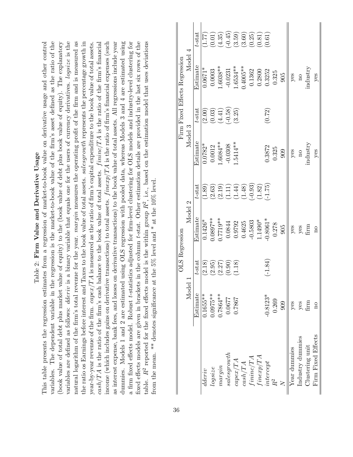| ς<br>ς<br>I<br>j         |  |
|--------------------------|--|
| I                        |  |
| nn<br>$\frac{1}{2}$<br>ļ |  |
| mu<br>i<br>j             |  |
| i<br>¢<br>$\frac{1}{6}$  |  |

variables. The dependent variable in the regression is the market-to-book value of the firm's asset defined as the ratio of the variables are defined as follows: *dderiv* is a binary variable that equals one for the users of currency derivatives. *logsize* is the natural logarithm of the firm's total revenue for the year. margin measures the operating profit of the firm and is measured as the ratio os Earnings before interest and Taxes to the book value of total assets. salesgrowth represents the percentage growth in income (which includes gains on derivative transactions) to total assets.  $finexp/TA$  is the ratio of firm's financial expenses (such dummies. Models 1 and 2 are estimated using OLS regression with pooled data, whereas Models 3 and 4 are estimated using a firm fixed effects model. Robust *t*-statistics adjusted for firm-level clustering for OLS models and industry-level clustering for fixed effects models are given in brackets in the column t-stat. Other estimation details are provided in the last six rows of the (book value of total debt plus market value of equity) to the (book value of debt plus book value of equity). The explanatory  $\cos h/TA$  is the ratio of the firm's cash balance to the book value of total assets.  $fining/TA$  is the ratio of the firm's financial as interest expense, bank fees, and losses on derivative transactions) to the book value of total assets. All regressions include year table.  $R^2$  reported for the fixed effects model is the within group  $R^2$ , i.e., based on the estimation model that uses deviations This table presents the regression estimates from a regression of market-to-book value on derivative usage and other control This table presents the regression estimates from a regression of market-to-book value on derivative usage and other control variables. The dependent variable in the regression is the market-to-book value of the firm's asset defined as the ratio of the (book value of total debt plus market value of equity) to the (book value of debt plus book value of equity). The explanatory variables are defined as follows: dderiv is a binary variable that equals one for the users of currency derivatives. logsize is the natural logarithm of the firm's total revenue for the year. margin measures the operating profit of the firm and is measured as the ratio os Earnings before interest and Taxes to the book value of total assets. *salesgrowth* represents the percentage growth in year-by-year revenue of the firm.  $capex/TA$  is measured as the ratio of firm's capital expenditure to the book value of total assets. cash/TA is the ratio of the firm's cash balance to the book value of total assets. *fininc*/TA is the ratio of the firm's financial income (which includes gains on derivative transactions) to total assets.  $f\mathit{inexp}/T A$  is the ratio of firm's financial expenses (such as interest expense, bank fees, and losses on derivative transactions) to the book value of total assets. All regressions include year dummies. Models 1 and 2 are estimated using OLS regression with pooled data, whereas Models 3 and 4 are estimated using a firm fixed effects model. Robust t-statistics adjusted for firm-level clustering for OLS models and industry-level clustering for fixed effects models are given in brackets in the column t-stat. Other estimation details are provided in the last six rows of the table.  $R^2$  reported for the fixed effects model is the within group  $R^2$ , i.e., based on the estimation model that uses deviations year-by-year revenue of the firm.  $capex/TA$  is measured as the ratio of firm's capital expenditure to the book value of total assets.<br>  $\therefore$ from the mean. \*\* denotes significance at the 5% level and \* at the 10% level. from the mean. \*\* denotes significance at the 5% level and \* at the 10% level.

|                    |                    |           | OLS Regression |                      |                    |             | Firm Fixed Effects Regression |           |
|--------------------|--------------------|-----------|----------------|----------------------|--------------------|-------------|-------------------------------|-----------|
|                    | Model              |           | Model 2        |                      | Model 3            |             | Model 4                       |           |
|                    | Estimate           | $t$ -stat | Estimate       | $t$ -stat            | Estimate           | $t$ -stat   | Estimate                      | $t$ -stat |
| dderiv             | $0.1655***$        | (2.18)    | $0.1426*$      | (1.89)               | $0.0782*$          | (2.00)      | $0.0671*$                     | (1.77)    |
| log size           | $0.0975**$         | (2.95)    | $0.0897**$     | (2.63)               | 0.0012             | (0.03)      | 0.0003                        | (0.01)    |
| margin             | 1.7864 **          | (2.27)    | $0.7719**$     |                      | $1.6084***$        | (4.41)      | $-.6038**$                    | (4.35)    |
| sales growth       | 0.0677             | (0.90)    | 0.0844         | $\binom{2.19}{1.11}$ | $-0.0308$          | $(89.0^{-}$ | $-0.0231$                     | $(-0.45)$ |
| capex/TA           | 1.7867             | 1.18      | 0.9792         | $\overline{1.44}$    | $.5414**$          | (3.25)      | $1.6534***$                   | (3.59)    |
| cash/TA            |                    |           | 0.4625         | (34.1)               |                    |             | $0.4005**$                    | (3.60)    |
| fimize/TA          |                    |           | $-0.5803$      | $(-0.93)$            |                    |             | 0.1362                        | (0.25)    |
| finexp/TA          |                    |           | $1.1490*$      | (1.82)               |                    |             | 0.2800                        | (0.81)    |
| intercept          | $-0.8123*$         | $(-1.84)$ | $0.8061*$      | (1.75)               | 0.3872             | (0.72)      | 0.3252                        | (1.61)    |
| $R^2$              | 0.269              |           | 0.278          |                      | 0.325              |             | 0.325                         |           |
|                    | 909                |           | 905            |                      | 909                |             | 905                           |           |
| Year dummies       | yes                |           | $y$ es         |                      | $y$ es             |             | $y$ es                        |           |
| Industry dummies   | yes                |           |                |                      | $\overline{\rm n}$ |             | $\overline{\mathbf{n}}$       |           |
| Clustering unit    | $\lim$             |           | yes<br>firm    |                      | industry           |             | ndustry                       |           |
| Firm Fixed Effects | $\overline{\rm n}$ |           | $\overline{a}$ |                      | $y$ es             |             | yes                           |           |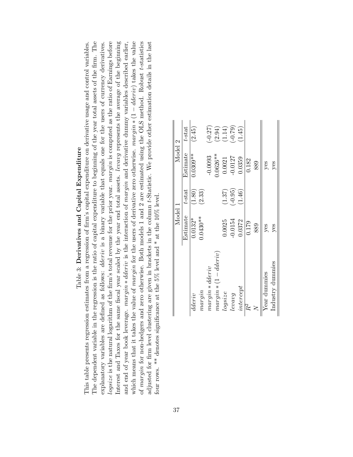| Table 3: Derivatives and Capital Expenditure                                                                                                       |
|----------------------------------------------------------------------------------------------------------------------------------------------------|
| This table presents regression estimates from a regression of firm's capital expenditure on derivative usage and control variables.                |
| The dependent variable in the regression is the ratio of capital expenditure to beginning of the year total assets of the firm. The                |
| as follows: <i>dderiv</i> is a binary variable that equals one for the users of currency derivatives.<br>explanatory variables are defined a       |
| $logsize$ is the natural logarithm of the firm's total revenue for the prior year. margin is computed as the ratio of Earnings before              |
| Interest and Taxes for the same fiscal year scaled by the year end total assets. <i>levavg</i> represents the average of the beginning             |
| and end of year book leverage. <i>margin</i> * <i>dderiv</i> is the interaction of <i>margin</i> and derivative dummy variables described earlier, |
| which means that it takes the value of <i>margin</i> for the users of derivative zero otherwise. <i>margin</i> $*(1 - dderiv)$ takes the value     |
| of margin for non-hedgers and zero otherwise. Both models 1 and 2 are estimated using the OLS method. Robust t-statistics                          |
| adjusted for firm level clustering are given in brackets in the column t-Statistic. We provide other estimation details in the last                |
| four rows. ** denotes significance at the 5% level and * at the $10\%$ level.                                                                      |

|                     | Model 1    |           | Model 2    |           |
|---------------------|------------|-----------|------------|-----------|
|                     | Estimate   | $t$ -stat | Estimate   | $t$ -stat |
| dderiv              | $0.0132*$  | (1.80)    | $0.0309**$ | (2.45)    |
| margin              | $0.0430**$ | (2.33)    |            |           |
| $margin * dderiv$   |            |           | $-0.0093$  | $(-0.27)$ |
| $margin*(1-dderiv)$ |            |           | $0.0626**$ | (2.94)    |
| $log size$          | 0.0025     | (1.37)    | 0.0021     | (1.14)    |
| levavg              | $-0.0154$  | $(-0.95)$ | $-0.0127$  | $(-0.79)$ |
| intercept           | 0.0372     | (1.46)    | 0.0359     | (1.45)    |
| $R^2$               | 0.179      |           | 0.182      |           |
|                     | 889        |           | 889        |           |
| Year dummies        | yes        |           | $y$ es     |           |
| Industry dummies    | yes        |           | yes        |           |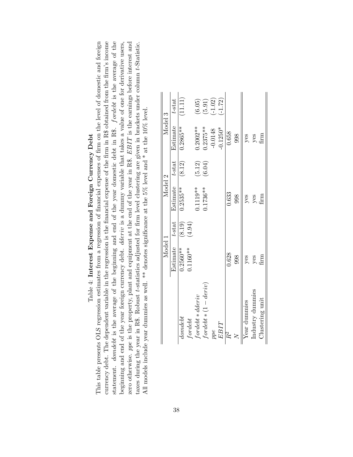# Table 4: Interest Expense and Foreign Currency Debt Table 4: Interest Expense and Foreign Currency Debt

currency debt. The dependent variable in the regression is the financial expense of the firm in R\$ obtained from the firm's income statement. domdebt is the average of the beginning and end of the year domestic debt in R\$. fordebt is the average of the This table presents OLS regression estimates from a regression of financial expenses of firm on the level of domestic and foreign beginning and end of the year foreign currency debt. *dderiv* is a dummy variable that takes a value of one for derivative users, zero otherwise. ppe is the property, plant and equipment at the end of the year in R\$. EBIT is the earnings before interest and This table presents OLS regression estimates from a regression of financial expenses of firm on the level of domestic and foreign currency debt. The dependent variable in the regression is the financial expense of the firm in R\$ obtained from the firm's income statement. *domdebt* is the average of the beginning and end of the year domestic debt in R\$. *fordebt* is the average of the beginning and end of the year foreign currency debt. dderiv is a dummy variable that takes a value of one for derivative users, zero otherwise. ppe is the property, plant and equipment at the end of the year in R\$. EBIT is the earnings before interest and taxes during the year in R\$. Robust t-statistics adjusted for firm level clustering are given in brackets under column t-Statistic. taxes during the year in R\$. Robust t-statistics adjusted for firm level clustering are given in brackets under column t-Statistic. All models include year dummies as well. \*\* denotes significance at the 5% level and \* at the 10% level. All models include year dummies as well. \*\* denotes significance at the 5% level and \* at the 10% level.

|                                | Model 1     |           | Model 2            |        | Model 3     |           |
|--------------------------------|-------------|-----------|--------------------|--------|-------------|-----------|
|                                | Estimate    | $t$ -stat | Estimate $t$ -stat |        | Estimate    | $t$ -stat |
| $_{dondelt}$                   | $0.2560**$  | (8.19)    | $0.2535***$        | (8.12) | $0.2865**$  | (11.11)   |
| for det                        | $0.1160**$  | (4.94)    |                    |        |             |           |
| $for debt *dderiv$             |             |           | 1.119**            | (5.12) | $0.2002**$  | (6.05)    |
| $\text{ford}ebt * (1 - deriv)$ |             |           | $0.1736**$         | (6.04) | $0.2375**$  | (5.91)    |
| ppe                            |             |           |                    |        | $-0.0148$   | $(-1.02)$ |
| $EBIT$                         |             |           |                    |        | $-0.1250*$  | $(-1.72)$ |
|                                | 0.628       |           | 0.633              |        | 0.658       |           |
|                                | 998         |           | 998                |        | 998         |           |
| Year dummies                   | $y$ es      |           | yes                |        | yes         |           |
| Industry dummies               | yes<br>firm |           | yes<br>firm        |        | yes<br>firm |           |
| Clustering unit                |             |           |                    |        |             |           |
|                                |             |           |                    |        |             |           |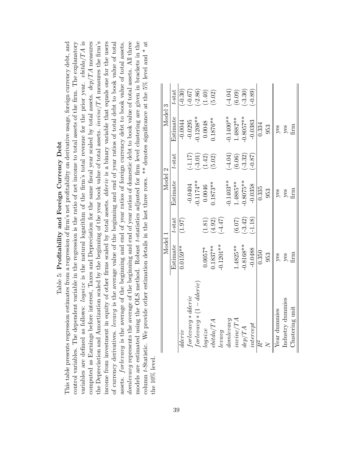| Table 5: Profitability and Foreign Currency Debt                                                                                              |
|-----------------------------------------------------------------------------------------------------------------------------------------------|
| This table presents regression estimates from a regression of firm's net profitability on derivative usage, foreign currency debt, and        |
| control variables. The dependent variable in the regression is the ratio of net income to total assets of the firm. The explanatory           |
| variables are defined as follows: logsize is the natural logarithm of the firm's total revenue for the prior year. $ebitda/TA$ is             |
| computed as Earnings before interest, Taxes and Depreciation for the same fiscal year scaled by total assets. $dep/TA$ measures               |
| the Depreciation and Amortization scaled by the beginning of the year book value of total assets. <i>invine</i> $/TA$ measures the firm's     |
| income from investment in equity of other firms scaled by total assets. <i>dderiv</i> is a binary variable that equals one for the users      |
| the average value of the beginning and end of year ratios of total debt to book value of total<br>of currency derivatives. <i>levavg</i> is - |
| assets. <i>forlevavg</i> is the average of the beginning and end of year ratios of foreign currency debt to book value of total assets.       |
| domlevavg represents the average of the beginning and end of year ratios of domestic debt to book value of total assets. All three            |
| models are estimated using the OLS method. Robust t-statistics adjusted for firm level clustering are given in brackets in the                |
| column t-Statistic. We provide other estimation details in the last three rows. ** denotes significance at the 5% level and * at              |
| the 10% level.                                                                                                                                |

|                               | Model         |           | Model 2     |             | Model 3     |           |
|-------------------------------|---------------|-----------|-------------|-------------|-------------|-----------|
|                               | Estimate      | $t$ -stat | Estimate    | $t$ -stat   | Estimate    | $t$ -stat |
| dderiv                        | $0.0159**$    | (1.97)    |             |             | $-0.0044$   | $(-0.30)$ |
| $forleway * dderiv$           |               |           | $-0.0404$   | $(-1.17)$   | $-0.0295$   | $(29.0 -$ |
| $^{t}orlevavg * (1 - dderiv)$ |               |           | $-0.1174**$ | $(-3.01)$   | $-0.1208**$ | $(-2.86)$ |
| logsize                       | $0.0057*$     | (1.81)    | 0.0046      | (1.42)      | 0.0048      | (1.40)    |
| ebitda/TA                     | $0.1837**$    | (4.92)    | $0.1873**$  | (5.02)      | $0.1876**$  | (5.02)    |
| leway                         | $-0.1201**$   | (14.47)   |             |             |             |           |
| domleway                      |               |           | $-0.1403**$ | $(-4.04)$   | $-0.1400**$ | $-4.04$   |
| invinc/TA                     | $1.4825**$    | (6.07)    | $1.4885**$  | (6.06)      | $1.4882**$  | (6.09)    |
| dep/TA                        | $-0.8168**$   | $(-3.42)$ | $-0.8075**$ | $(-3.32)$   | $0.8057**$  | $-3.30)$  |
| intercept                     | $-0.0488$     | (1.18)    | $-0.0358$   | $(78.0 - )$ | $-0.0383$   | $-0.89$   |
|                               | 0.350         |           | 0.335       |             | 0.334       |           |
|                               | 953           |           | 953         |             | 953         |           |
| Year dummies                  | $y$ es        |           | $y$ es      |             | $y$ es      |           |
| Industry dummies              | yes           |           | yes         |             |             |           |
| Clustering unit               | $\text{firm}$ |           | E<br>H      |             | yes<br>firm |           |
|                               |               |           |             |             |             |           |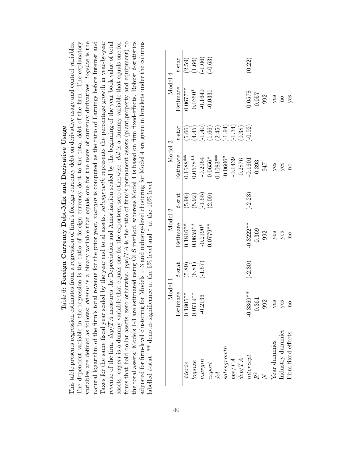| Table 6: Foreign Currency Debt-Mix and Derivative Usage                                                                                           |
|---------------------------------------------------------------------------------------------------------------------------------------------------|
| This table presents regression estimates from a regression of firm's foreign currency debt on derivative usage and control variables.             |
| The dependent variable in the regression is the ratio of foreign currency debt to the total debt of the firm. The explanatory                     |
| variables are defined as follows: <i>dderiv</i> is a binary variable that equals one for the users of currency derivatives. <i>logsize</i> is the |
| natural logarithm of the firm's total revenue for the prior year. margin is computed as the ratio of Earnings before Interest and                 |
| Taxes for the same fiscal year scaled by the year end total assets. salesgrowth represents the percentage growth in year-by-year                  |
| revenue of the firm. $dep/TA$ measures the Depreciation and Amortization scaled by the beginning of the year book value of total                  |
| assets. <i>export</i> is a dummy variable that equals one for the exporters, zero otherwise. dol is a dummy variable that equals one for          |
| otherwise. $ppe/TA$ is the ratio of firm's permanent assets (plant, property and equipment) to<br>firms that hold dollar assets, zero             |
| the total assets. Models 1-3 are estimated using OLS method, whereas Model 4 is based on firm fixed-effects. Robust t-statistics                  |
| adjusted for firm-level clustering for Models 1–3 and industry-level clustering for Model 4 are given in brackets under the columns               |
| labelled t-stat. ** denotes significance at the 5% level and * at the 10% level.                                                                  |
|                                                                                                                                                   |

|                                | Model 1         |           | Model 2            |           | Model 3                |           | Model 4      |                                    |
|--------------------------------|-----------------|-----------|--------------------|-----------|------------------------|-----------|--------------|------------------------------------|
|                                | Estimate        | $t$ -stat | Estimate           | $t$ -stat | Estimate               | $t$ -stat | Estimate     | $t$ -stat                          |
| dderiv                         | $35**$<br>0.180 | (5.89)    | $0.1816**$         | (5.96)    | $0.1688**$             | (5.66)    | $0.0677**$   | (2.59)                             |
| logsize                        | $.9**$<br>1.071 | (6.81)    | $0.0659***$        | (5.92)    | $0.0578**$             | (4.45)    | $0.0350*$    |                                    |
| nargin                         | 136<br>$-0.21$  | (1.57)    | $-0.2190*$         | $(-1.65)$ |                        | $(-1.40)$ | $-0.1640$    | $(1.66)$<br>$(-1.06)$<br>$(-0.63)$ |
| $\ensuremath{\mathit{expert}}$ |                 |           | $0.0779**$         | (2.00)    | $-0.2054$<br>$0.0656*$ | (1.66)    | $-0.0331$    |                                    |
| $_{dol}$                       |                 |           |                    |           | $0.1083**$             | (2.45)    |              |                                    |
| salesgrowth                    |                 |           |                    |           | $-0.0606*$             | $(-1.94)$ |              |                                    |
| ppe/TA                         |                 |           |                    |           | $-0.1439$              | $(-1.34)$ |              |                                    |
| dep/TA                         |                 |           |                    |           | 0.2876                 | (0.38)    |              |                                    |
| intercept                      | $-0.3369**$     | $(-2.30)$ | $-0.3222***$       | $(-2.23)$ | $-0.1601$              | $(56.0-)$ | 0.578        | (0.22)                             |
| $R^2$                          | 0.361           |           | 0.369              |           | 0.393                  |           | 0.057        |                                    |
|                                | 992             |           | 992                |           | 947                    |           | 992          |                                    |
| Year dummies                   | yes             |           | $y$ es             |           | yes                    |           |              |                                    |
| Industry dummies               | yes             |           | $y$ es             |           | $y$ es<br>no           |           | $y$ es<br>no |                                    |
| Firm fixed-effects             |                 |           | $\overline{\rm n}$ |           |                        |           | yes          |                                    |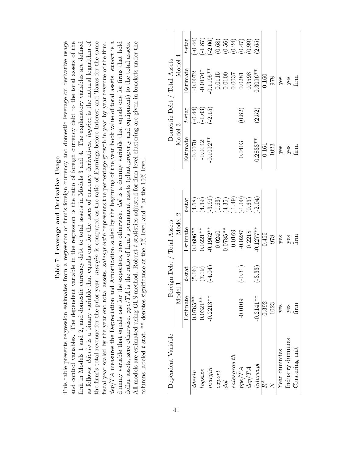Table 7: Leverage and Derivative Usage Table 7: Leverage and Derivative Usage

dep/TA measures the Depreciation and Amortization scaled by the beginning of the year book value of total assets. export is a and control variables. The dependent variable in the regression is the ratio of foreign currency debt to the total assets of the as follows: *dderiv* is a binary variable that equals one for the users of currency derivatives. *logsize* is the natural logarithm of  $dep/TA$  measures the Depreciation and Amortization scaled by the beginning of the year book value of total assets.  $export$  is a All models are estimated using OLS method. Robust *t*-statistics adjusted for firm-level clustering are given in brackets under the This table presents regression estimates from a regression of firm's foreign currency and domestic leverage on derivative usage firm in Models 1 and 2, and domestic currency debt to total assets in Models 3 and 4. The explanatory variables are defined as follows: *dderiv* is a binary variable that equals one for the users of currency derivatives. *logsize* is the natural logarithm of the firm's total revenue for the prior year. margin is computed as the ratio of Earnings before Interest and Taxes for the same fiscal year scaled by the year end total assets. salesgrowth represents the percentage growth in year-by-year revenue of the firm. dummy variable that equals one for the exporters, zero otherwise. dol is a dummy variable that equals one for firms that hold This table presents regression estimates from a regression of firm's foreign currency and domestic leverage on derivative usage and control variables. The dependent variable in the regression is the ratio of foreign currency debt to the total assets of the firm in Models 1 and 2, and domestic currency debt to total assets in Models 3 and 4. The explanatory variables are defined the firm's total revenue for the prior year. *margin* is computed as the ratio of Earnings before Interest and Taxes for the same dummy variable that equals one for the exporters, zero otherwise. dol is a dummy variable that equals one for firms that hold dollar assets, zero otherwise. ppe/TA is the ratio of firm's permanent assets (plant, property and equipment) to the total assets. All models are estimated using OLS method. Robust t-statistics adjusted for firm-level clustering are given in brackets under the fiscal year scaled by the year end total assets. salesgrowth represents the percentage growth in year-by-year revenue of the firm. dollar assets, zero otherwise. *ppe*/TA is the ratio of firm's permanent assets (plant,property and equipment) to the total assets.<br>... columns labeled t-stat. \*\* denotes significance at the 5% level and \* at the 10% level. columns labeled t-stat. \*\* denotes significance at the 5% level and \* at the 10% level.

|                              |         | $t$ -sta $t$ | $(-0.44)$  | (1.87)     | $(-2.06)$   | (0.68) | (0.56)          | (0.24)       | (2F0)     | (66.0) | (2.65)      |       |      |              |                  |                 |
|------------------------------|---------|--------------|------------|------------|-------------|--------|-----------------|--------------|-----------|--------|-------------|-------|------|--------------|------------------|-----------------|
| Domestic Debt / Total Assets | Model 4 | Estimate     | $-0.0072$  | $-0.0176*$ | $0.1195**$  | 0.0115 | 0.0100          | 0.0037       | 0.0281    | 0.3598 | $0.3096**$  | 0.160 | 978  | $y$ es       |                  | yes<br>firm     |
|                              |         | $t$ -stat    | $(-0.44)$  | $(-1.63)$  | $(-2.15)$   |        |                 |              | (0.82)    |        | (2.52)      |       |      |              |                  |                 |
|                              | Model 3 | Estimate     | $-0.0070$  | $-0.0142$  | $0.1092**$  |        |                 |              | 0.0403    |        | $0.2833**$  | 0.161 | 1023 | $y$ es       | yes<br>firm      |                 |
|                              |         | $t$ -sta $t$ | (4.68)     | (4.39)     | $(-3.91)$   | (1.63) | (4.35)          | $(-1.49)$    | (1.00)    | (0.63) | $-2.04)$    |       |      |              |                  |                 |
| Foreign Debt / Total Assets  | Model 2 | Estimate     | $0.0696**$ | $0.0221**$ | $0.1962**$  | 0.0240 | $0.0785**$      | $-0.0169$    | $-0.0287$ | 0.2218 | $-0.1277**$ | 0.455 | 978  | $y$ es       | $y$ es<br>firm   |                 |
|                              |         | $t$ -stat    | (5.06)     | (7.19)     | $(-4.04)$   |        |                 |              | $(-0.31)$ |        | $(-3.33)$   |       |      |              |                  |                 |
|                              | Model 1 | Estimate     | $0.0765**$ | $0.0321**$ | $-0.2213**$ |        |                 |              | $-0.0109$ |        | $-0.2141**$ | 0.392 | 1023 | $y$ es       | yes              | mrti<br>E       |
| Dependent Variable           |         |              | dderiv     | log size   | margin      | export | $_{\text{dol}}$ | sales growth | $ppe/TA$  | dep/TA | intercept   | $R^2$ |      | Year dummies | Industry dummies | Clustering unit |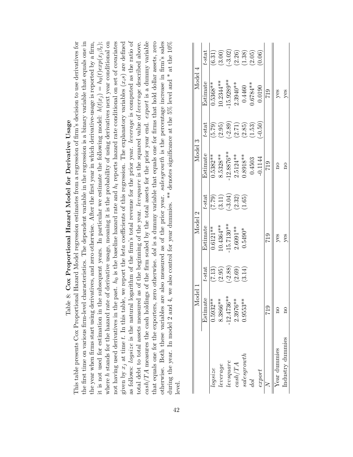|                                                                                                                                                                                                                                                                                      | Table                              |           | 8: Cox Proportional Hazard Model for Derivative Usage |           |              |           |                                                                                                       |           |
|--------------------------------------------------------------------------------------------------------------------------------------------------------------------------------------------------------------------------------------------------------------------------------------|------------------------------------|-----------|-------------------------------------------------------|-----------|--------------|-----------|-------------------------------------------------------------------------------------------------------|-----------|
| This table presents Cox Proportional Hazard Model regression estimates from a regression of firm's decision to use derivatives for                                                                                                                                                   |                                    |           |                                                       |           |              |           |                                                                                                       |           |
| the first time on various firm-level characteristics. The dependent variable in the regression is a binary variable that equals one in                                                                                                                                               |                                    |           |                                                       |           |              |           |                                                                                                       |           |
| it is not used for estimation in the subsequent years. In particular we estimate the following model: $h(t x_j) = h_0(t)exp(x_j\beta_x)$ ;<br>the year when firms start using derivatives, and zero otherwise. After the first year in which derivative-usage is reported by a firm, |                                    |           |                                                       |           |              |           |                                                                                                       |           |
| where h stands for the hazard rate of derivative usage, meaning it is the probability of using derivatives next year conditional on                                                                                                                                                  |                                    |           |                                                       |           |              |           |                                                                                                       |           |
| not having used derivatives in the past. $h_0$ is the baseline hazard rate and $h_t$ reports hazard rate conditional on set of covariates                                                                                                                                            |                                    |           |                                                       |           |              |           |                                                                                                       |           |
| given by $x_j$ at time t. In this table, we report the <i>beta</i> coefficients of this regression. The explanatory variables $(x_i, s)$ are defined<br>as follows: logsize is the natural                                                                                           |                                    |           |                                                       |           |              |           | logarithm of the firm's total revenue for the prior year. <i>leverage</i> is computed as the ratio of |           |
| total debt to total assets measured as of the beginning of the year. levsquare is the squared value of leverage described above.                                                                                                                                                     |                                    |           |                                                       |           |              |           |                                                                                                       |           |
| $\cos h/TA$ measures the cash holdings of the firm scaled by the total assets for the prior year end. export is a dummy variable                                                                                                                                                     |                                    |           |                                                       |           |              |           |                                                                                                       |           |
| otherwise. Both these variables are also measured as of the prior year. salesgrowth is the percentage increase in firm's sales<br>that equals one for the exporters, zero otherwise. dol is a dummy variable that equals one for firms that hold dollar assets, zero                 |                                    |           |                                                       |           |              |           |                                                                                                       |           |
| during the year. In model 2 and 4, we also control for year dummies. ** denotes significance at the 5% level and * at the 10%                                                                                                                                                        |                                    |           |                                                       |           |              |           |                                                                                                       |           |
| level.                                                                                                                                                                                                                                                                               |                                    |           |                                                       |           |              |           |                                                                                                       |           |
|                                                                                                                                                                                                                                                                                      | Model 1                            |           | Model 2                                               |           | Model        | $\infty$  | Model                                                                                                 | ₹         |
|                                                                                                                                                                                                                                                                                      | $\frac{\text{Estimate}}{0.5932**}$ | t-stat    | Estimate                                              | $t$ -stat | Estimate     | t-stat    | Estimate                                                                                              | $t$ -stat |
| log size                                                                                                                                                                                                                                                                             |                                    | (7.13)    | $0.6121**$                                            | (62.7)    | $0.5382**$   | (5.79)    | $0.5368**$                                                                                            | (6.31)    |
| leverage                                                                                                                                                                                                                                                                             | 8.3866 **                          | (2.95)    | $10.4364**$                                           | (3.11)    | 8.5328**     | (2.95)    | 10.2344 **                                                                                            | (3.00)    |
| levsquare                                                                                                                                                                                                                                                                            | $-12.4736**$                       | $(-2.88)$ | $-15.7130**$                                          | $(-3.04)$ | $-12.8876**$ | $(-2.89)$ | $-15.9289**$                                                                                          | $(-3.02)$ |
| cash/TA                                                                                                                                                                                                                                                                              | $2.3976**$                         | (2.69)    | $2.6091***$                                           | (2.32)    | $2.5124**$   | (2.71)    | $2.3940**$                                                                                            | (2.26)    |
| salesgrowth                                                                                                                                                                                                                                                                          | $0.9553**$                         | (3.14)    | $0.5490*$                                             | (1.65)    | $0.8918**$   | (2.85)    | 0.4460                                                                                                | (1.38)    |
| $^{dof}$                                                                                                                                                                                                                                                                             |                                    |           |                                                       |           | 0.4503       | (1.53)    | $0.6784***$                                                                                           | (2.05)    |
| export                                                                                                                                                                                                                                                                               |                                    |           |                                                       |           | $-0.1144$    | $(-0.50)$ | 0.0190                                                                                                | (0.06)    |

0.0190 719

 $y$ es<br>yes

 719 719 719 719 Year dummies no no yes yes yes Industry dummies ho ho yes yes no ho yes

yes<br>yes

**ELZ** 

 $\overline{017}$ 

 $\begin{matrix}\n0 \\
0\n\end{matrix}$ 

Industry dummies Year dummies

 $617$  $\overline{\text{no}}$  $\overline{\text{no}}$ 

 $\overline{z}$ 

 $export$  $_{dol}$ 

42